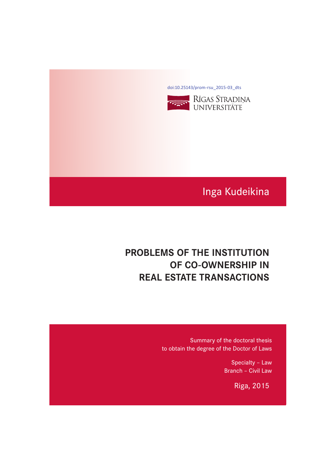[doi:10.25143/prom-rsu\\_2015-03\\_dts](https://doi.org/10.25143/prom-rsu_2015-03_dts)



# Inga Kudeikina

# **PROBLEMS OF THE INSTITUTION PROBLEMS OF CO-OWNERSHIP IN REAL ESTATE TRANSACTIONS**

Summary of the doctoral thesis to obtain the degree of the Doctor of Laws

> Specialty – Law Branch – Civil Law

> > Riga, 2015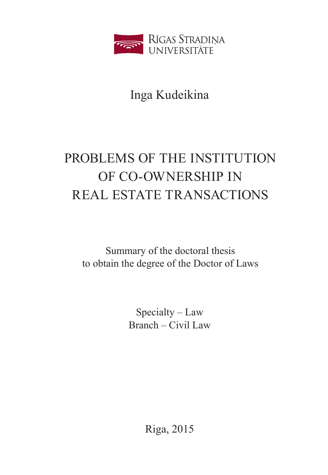

Inga Kudeikina

# PROBLEMS OF THE INSTITUTION OF CO-OWNERSHIP IN REAL ESTATE TRANSACTIONS

Summary of the doctoral thesis to obtain the degree of the Doctor of Laws

> Specialty – Law Branch – Civil Law

> > Riga, 2015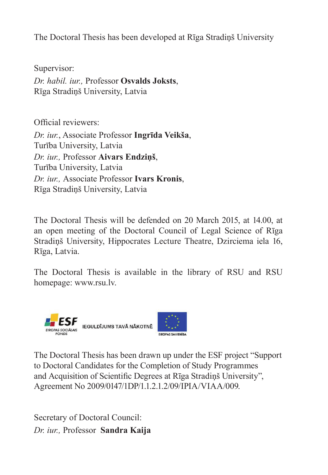The Doctoral Thesis has been developed at Rīga Stradiņš University

Supervisor: *Dr. habil. iur.,* Professor **Osvalds Joksts**, Rīga Stradiņš University, Latvia

Official reviewers:

*Dr. iur.*, Associate Professor **Ingrīda Veikša**, Turība University, Latvia *Dr. iur.,* Professor **Aivars Endziņš**, Turība University, Latvia *Dr. iur.,* Associate Professor **Ivars Kronis**, Rīga Stradiņš University, Latvia

The Doctoral Thesis will be defended on 20 March 2015, at 14.00, at an open meeting of the Doctoral Council of Legal Science of Rīga Stradiņš University, Hippocrates Lecture Theatre, Dzirciema iela 16, Rīga, Latvia.

The Doctoral Thesis is available in the library of RSU and RSU homepage: www.rsu.lv.



The Doctoral Thesis has been drawn up under the ESF project "Support to Doctoral Candidates for the Completion of Study Programmes and Acquisition of Scientific Degrees at Rīga Stradiņš University", Agreement No 2009/0147/1DP/1.1.2.1.2/09/IPIA/VIAA/009.

Secretary of Doctoral Council: *Dr. iur.,* Professor **Sandra Kaija**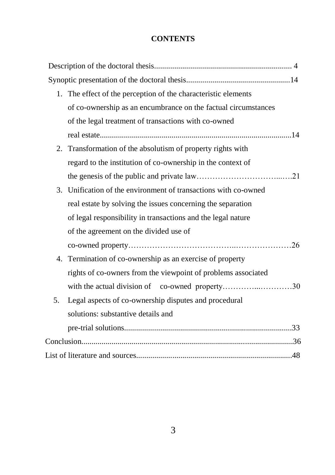#### **CONTENTS**

| 1. The effect of the perception of the characteristic elements     |
|--------------------------------------------------------------------|
| of co-ownership as an encumbrance on the factual circumstances     |
| of the legal treatment of transactions with co-owned               |
|                                                                    |
| 2. Transformation of the absolutism of property rights with        |
| regard to the institution of co-ownership in the context of        |
|                                                                    |
| Unification of the environment of transactions with co-owned<br>3. |
| real estate by solving the issues concerning the separation        |
| of legal responsibility in transactions and the legal nature       |
| of the agreement on the divided use of                             |
|                                                                    |
| 4. Termination of co-ownership as an exercise of property          |
| rights of co-owners from the viewpoint of problems associated      |
| with the actual division of co-owned property30                    |
| Legal aspects of co-ownership disputes and procedural<br>5.        |
| solutions: substantive details and                                 |
|                                                                    |
|                                                                    |
|                                                                    |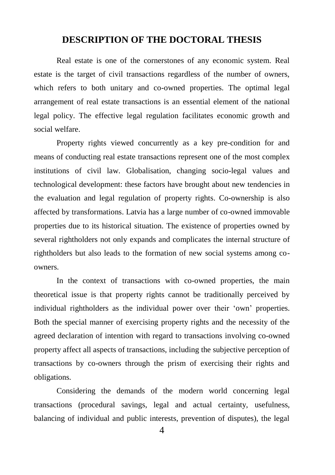#### **DESCRIPTION OF THE DOCTORAL THESIS**

Real estate is one of the cornerstones of any economic system. Real estate is the target of civil transactions regardless of the number of owners, which refers to both unitary and co-owned properties. The optimal legal arrangement of real estate transactions is an essential element of the national legal policy. The effective legal regulation facilitates economic growth and social welfare.

Property rights viewed concurrently as a key pre-condition for and means of conducting real estate transactions represent one of the most complex institutions of civil law. Globalisation, changing socio-legal values and technological development: these factors have brought about new tendencies in the evaluation and legal regulation of property rights. Co-ownership is also affected by transformations. Latvia has a large number of co-owned immovable properties due to its historical situation. The existence of properties owned by several rightholders not only expands and complicates the internal structure of rightholders but also leads to the formation of new social systems among coowners.

In the context of transactions with co-owned properties, the main theoretical issue is that property rights cannot be traditionally perceived by individual rightholders as the individual power over their "own" properties. Both the special manner of exercising property rights and the necessity of the agreed declaration of intention with regard to transactions involving co-owned property affect all aspects of transactions, including the subjective perception of transactions by co-owners through the prism of exercising their rights and obligations.

Considering the demands of the modern world concerning legal transactions (procedural savings, legal and actual certainty, usefulness, balancing of individual and public interests, prevention of disputes), the legal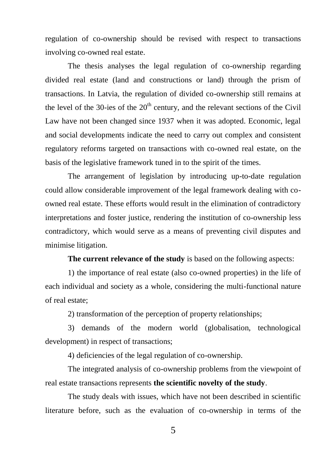regulation of co-ownership should be revised with respect to transactions involving co-owned real estate.

The thesis analyses the legal regulation of co-ownership regarding divided real estate (land and constructions or land) through the prism of transactions. In Latvia, the regulation of divided co-ownership still remains at the level of the 30-ies of the  $20<sup>th</sup>$  century, and the relevant sections of the Civil Law have not been changed since 1937 when it was adopted. Economic, legal and social developments indicate the need to carry out complex and consistent regulatory reforms targeted on transactions with co-owned real estate, on the basis of the legislative framework tuned in to the spirit of the times.

The arrangement of legislation by introducing up-to-date regulation could allow considerable improvement of the legal framework dealing with coowned real estate. These efforts would result in the elimination of contradictory interpretations and foster justice, rendering the institution of co-ownership less contradictory, which would serve as a means of preventing civil disputes and minimise litigation.

**The current relevance of the study** is based on the following aspects:

1) the importance of real estate (also co-owned properties) in the life of each individual and society as a whole, considering the multi-functional nature of real estate;

2) transformation of the perception of property relationships;

3) demands of the modern world (globalisation, technological development) in respect of transactions;

4) deficiencies of the legal regulation of co-ownership.

The integrated analysis of co-ownership problems from the viewpoint of real estate transactions represents **the scientific novelty of the study**.

The study deals with issues, which have not been described in scientific literature before, such as the evaluation of co-ownership in terms of the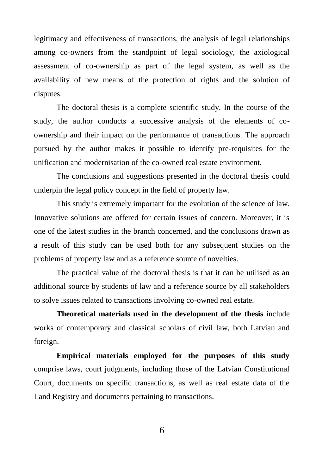legitimacy and effectiveness of transactions, the analysis of legal relationships among co-owners from the standpoint of legal sociology, the axiological assessment of co-ownership as part of the legal system, as well as the availability of new means of the protection of rights and the solution of disputes.

The doctoral thesis is a complete scientific study. In the course of the study, the author conducts a successive analysis of the elements of coownership and their impact on the performance of transactions. The approach pursued by the author makes it possible to identify pre-requisites for the unification and modernisation of the co-owned real estate environment.

The conclusions and suggestions presented in the doctoral thesis could underpin the legal policy concept in the field of property law.

This study is extremely important for the evolution of the science of law. Innovative solutions are offered for certain issues of concern. Moreover, it is one of the latest studies in the branch concerned, and the conclusions drawn as a result of this study can be used both for any subsequent studies on the problems of property law and as a reference source of novelties.

The practical value of the doctoral thesis is that it can be utilised as an additional source by students of law and a reference source by all stakeholders to solve issues related to transactions involving co-owned real estate.

**Theoretical materials used in the development of the thesis** include works of contemporary and classical scholars of civil law, both Latvian and foreign.

**Empirical materials employed for the purposes of this study** comprise laws, court judgments, including those of the Latvian Constitutional Court, documents on specific transactions, as well as real estate data of the Land Registry and documents pertaining to transactions.

6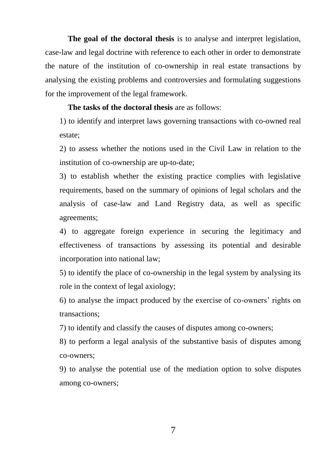**The goal of the doctoral thesis** is to analyse and interpret legislation, case-law and legal doctrine with reference to each other in order to demonstrate the nature of the institution of co-ownership in real estate transactions by analysing the existing problems and controversies and formulating suggestions for the improvement of the legal framework.

**The tasks of the doctoral thesis** are as follows:

1) to identify and interpret laws governing transactions with co-owned real estate;

2) to assess whether the notions used in the Civil Law in relation to the institution of co-ownership are up-to-date;

3) to establish whether the existing practice complies with legislative requirements, based on the summary of opinions of legal scholars and the analysis of case-law and Land Registry data, as well as specific agreements;

4) to aggregate foreign experience in securing the legitimacy and effectiveness of transactions by assessing its potential and desirable incorporation into national law;

5) to identify the place of co-ownership in the legal system by analysing its role in the context of legal axiology;

6) to analyse the impact produced by the exercise of co-owners" rights on transactions;

7) to identify and classify the causes of disputes among co-owners;

8) to perform a legal analysis of the substantive basis of disputes among co-owners;

9) to analyse the potential use of the mediation option to solve disputes among co-owners;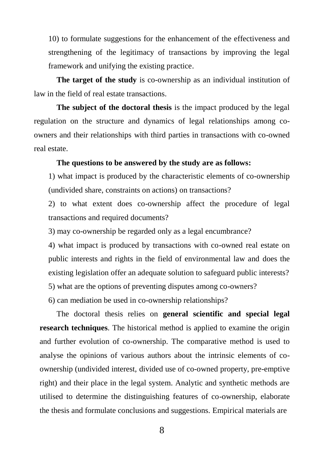10) to formulate suggestions for the enhancement of the effectiveness and strengthening of the legitimacy of transactions by improving the legal framework and unifying the existing practice.

**The target of the study** is co-ownership as an individual institution of law in the field of real estate transactions.

**The subject of the doctoral thesis** is the impact produced by the legal regulation on the structure and dynamics of legal relationships among coowners and their relationships with third parties in transactions with co-owned real estate.

#### **The questions to be answered by the study are as follows:**

1) what impact is produced by the characteristic elements of co-ownership (undivided share, constraints on actions) on transactions?

2) to what extent does co-ownership affect the procedure of legal transactions and required documents?

3) may co-ownership be regarded only as a legal encumbrance?

4) what impact is produced by transactions with co-owned real estate on public interests and rights in the field of environmental law and does the existing legislation offer an adequate solution to safeguard public interests?

5) what are the options of preventing disputes among co-owners?

6) can mediation be used in co-ownership relationships?

The doctoral thesis relies on **general scientific and special legal research techniques**. The historical method is applied to examine the origin and further evolution of co-ownership. The comparative method is used to analyse the opinions of various authors about the intrinsic elements of coownership (undivided interest, divided use of co-owned property, pre-emptive right) and their place in the legal system. Analytic and synthetic methods are utilised to determine the distinguishing features of co-ownership, elaborate the thesis and formulate conclusions and suggestions. Empirical materials are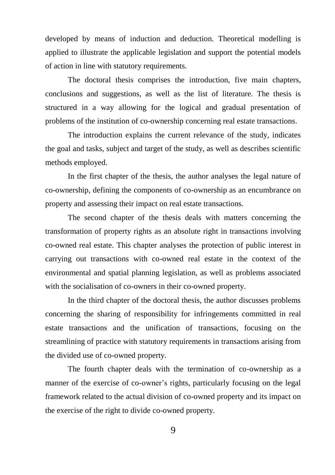developed by means of induction and deduction. Theoretical modelling is applied to illustrate the applicable legislation and support the potential models of action in line with statutory requirements.

The doctoral thesis comprises the introduction, five main chapters, conclusions and suggestions, as well as the list of literature. The thesis is structured in a way allowing for the logical and gradual presentation of problems of the institution of co-ownership concerning real estate transactions.

The introduction explains the current relevance of the study, indicates the goal and tasks, subject and target of the study, as well as describes scientific methods employed.

In the first chapter of the thesis, the author analyses the legal nature of co-ownership, defining the components of co-ownership as an encumbrance on property and assessing their impact on real estate transactions.

The second chapter of the thesis deals with matters concerning the transformation of property rights as an absolute right in transactions involving co-owned real estate. This chapter analyses the protection of public interest in carrying out transactions with co-owned real estate in the context of the environmental and spatial planning legislation, as well as problems associated with the socialisation of co-owners in their co-owned property.

In the third chapter of the doctoral thesis, the author discusses problems concerning the sharing of responsibility for infringements committed in real estate transactions and the unification of transactions, focusing on the streamlining of practice with statutory requirements in transactions arising from the divided use of co-owned property.

The fourth chapter deals with the termination of co-ownership as a manner of the exercise of co-owner's rights, particularly focusing on the legal framework related to the actual division of co-owned property and its impact on the exercise of the right to divide co-owned property.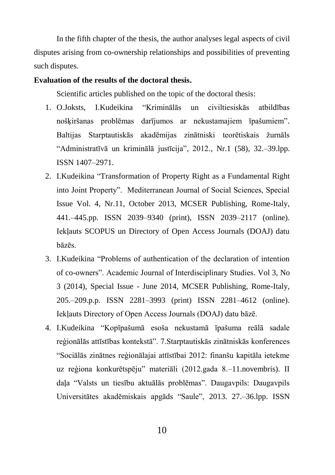In the fifth chapter of the thesis, the author analyses legal aspects of civil disputes arising from co-ownership relationships and possibilities of preventing such disputes.

#### **Evaluation of the results of the doctoral thesis.**

Scientific articles published on the topic of the doctoral thesis:

- 1. O.Joksts, I.Kudeikina "Kriminālās un civiltiesiskās atbildības nošķiršanas problēmas darījumos ar nekustamajiem īpašumiem". Baltijas Starptautiskās akadēmijas zinātniski teorētiskais žurnāls "Administratīvā un kriminālā justīcija", 2012., Nr.1 (58), 32.–39.lpp. ISSN 1407–2971.
- 2. I.Kudeikina "Transformation of Property Right as a Fundamental Right into Joint Property". Mediterranean Journal of Social Sciences, Special Issue Vol. 4, Nr.11, October 2013, MCSER Publishing, Rome-Italy, 441.–445.pp. ISSN 2039–9340 (print), ISSN 2039–2117 (online). Iekļauts SCOPUS un Directory of Open Access Journals (DOAJ) datu bāzēs.
- 3. I.Kudeikina "Problems of authentication of the declaration of intention of co-owners". Academic Journal of Interdisciplinary Studies. Vol 3, No 3 (2014), Special Issue - June 2014, MCSER Publishing, Rome-Italy, 205.–209.p.p. ISSN 2281–3993 (print) ISSN 2281–4612 (online). Iekļauts Directory of Open Access Journals (DOAJ) datu bāzē.
- 4. I.Kudeikina "Kopīpašumā esoša nekustamā īpašuma reālā sadale reģionālās attīstības kontekstā". 7.Starptautiskās zinātniskās konferences "Sociālās zinātnes reģionālajai attīstībai 2012: finanšu kapitāla ietekme uz reģiona konkurētspēju" materiāli (2012.gada 8.–11.novembris). II daļa "Valsts un tiesību aktuālās problēmas". Daugavpils: Daugavpils Universitātes akadēmiskais apgāds "Saule", 2013. 27.–36.lpp. ISSN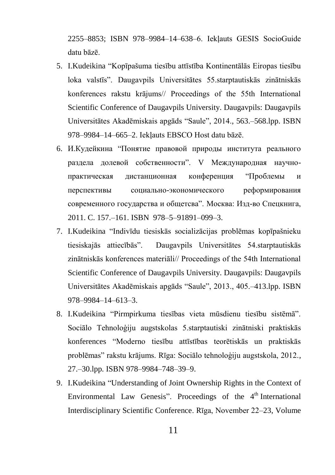2255–8853; ISBN 978–9984–14–638–6. Iekļauts GESIS SocioGuide datu bāzē.

- 5. I.Kudeikina "Kopīpašuma tiesību attīstība Kontinentālās Eiropas tiesību loka valstīs". [Daugavpils Universitātes 55.starptautiskās zinātniskās](http://dukonference.lv/files/proceedings_of_conf/DU_55_starpt_zinatn_konf_rakstu_kraj.pdf)  [konferences rakstu krājums// Proceedings of the 55th International](http://dukonference.lv/files/proceedings_of_conf/DU_55_starpt_zinatn_konf_rakstu_kraj.pdf)  [Scientific Conference of Daugavpils University. Daugavpils: Daugavpils](http://dukonference.lv/files/proceedings_of_conf/DU_55_starpt_zinatn_konf_rakstu_kraj.pdf)  [Universitātes Akadēmiskais apgāds "Saule", 2014., 563.–568.lpp.](http://dukonference.lv/files/proceedings_of_conf/DU_55_starpt_zinatn_konf_rakstu_kraj.pdf) ISBN [978–9984–14–665–2.](http://dukonference.lv/files/proceedings_of_conf/DU_55_starpt_zinatn_konf_rakstu_kraj.pdf) Iekļauts EBSCO Host datu bāzē.
- 6. И.Кудейкина "Понятие правовой природы института реального раздела долевой собственности". V Международная научнопрактическая дистанционная конференция "Проблемы и перспективы социально-экономического реформирования современного государства и общетсва". Москва: Изд-во Спецкнига, 2011. C. 157.–161. ISBN 978–5–91891–099–3.
- 7. I.Kudeikina "Indivīdu tiesiskās socializācijas problēmas kopīpašnieku tiesiskajās attiecībās". [Daugavpils Universitātes 54.starptautiskās](http://dukonference.lv/files/proceedings_of_conf/54konf_proceedings.pdf)  [zinātniskās konferences materiāli// Proceedings of the 54th International](http://dukonference.lv/files/proceedings_of_conf/54konf_proceedings.pdf)  [Scientific Conference of Daugavpils University. Daugavpils: Daugavpils](http://dukonference.lv/files/proceedings_of_conf/54konf_proceedings.pdf)  [Universitātes Akadēmiskais apgāds "Saule", 2013., 405.–413.lpp. ISBN](http://dukonference.lv/files/proceedings_of_conf/54konf_proceedings.pdf)  [978–9984–14–613–3.](http://dukonference.lv/files/proceedings_of_conf/54konf_proceedings.pdf)
- 8. I.Kudeikina "Pirmpirkuma tiesības vieta mūsdienu tiesību sistēmā". Sociālo Tehnoloģiju augstskolas 5.starptautiski zinātniski praktiskās konferences "Moderno tiesību attīstības teorētiskās un praktiskās problēmas" rakstu krājums. Rīga: Sociālo tehnoloģiju augstskola, 2012., 27.–30.lpp. ISBN 978–9984–748–39–9.
- 9. I.Kudeikina "Understanding of Joint Ownership Rights in the Context of Environmental Law Genesis". Proceedings of the  $4<sup>th</sup>$  International Interdisciplinary Scientific Conference. Rīga, November 22–23, Volume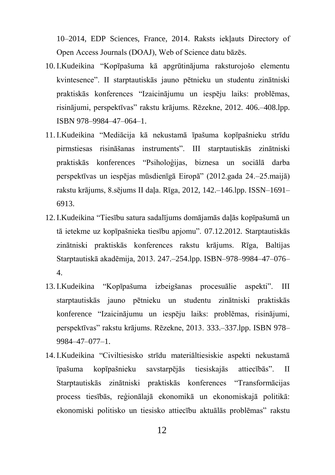10–2014, EDP Sciences, France, 2014. Raksts iekļauts Directory of Open Access Journals (DOAJ), Web of Science datu bāzēs.

- 10.I.Kudeikina "Kopīpašuma kā apgrūtinājuma raksturojošo elementu kvintesence". II starptautiskās jauno pētnieku un studentu zinātniski praktiskās konferences "Izaicinājumu un iespēju laiks: problēmas, risinājumi, perspektīvas" rakstu krājums. Rēzekne, 2012. 406.–408.lpp. ISBN 978–9984–47–064–1.
- 11.I.Kudeikina "Mediācija kā nekustamā īpašuma kopīpašnieku strīdu pirmstiesas risināšanas instruments". III starptautiskās zinātniski praktiskās konferences "Psiholoģijas, biznesa un sociālā darba perspektīvas un iespējas mūsdienīgā Eiropā" (2012.gada 24.–25.maijā) rakstu krājums, 8.sējums II daļa. Rīga, 2012, 142.–146.lpp. ISSN–1691– 6913.
- 12.I.Kudeikina "Tiesību satura sadalījums domājamās daļās kopīpašumā un tā ietekme uz kopīpašnieka tiesību apjomu". 07.12.2012. Starptautiskās zinātniski praktiskās konferences rakstu krājums. Rīga, Baltijas Starptautiskā akadēmija, 2013. 247.–254.lpp. ISBN–978–9984–47–076– 4.
- 13.I.Kudeikina "Kopīpašuma izbeigšanas procesuālie aspekti". III starptautiskās jauno pētnieku un studentu zinātniski praktiskās konference "Izaicinājumu un iespēju laiks: problēmas, risinājumi, perspektīvas" rakstu krājums. Rēzekne, 2013. 333.–337.lpp. ISBN 978– 9984–47–077–1.
- 14.I.Kudeikina "Civiltiesisko strīdu materiāltiesiskie aspekti nekustamā īpašuma kopīpašnieku savstarpējās tiesiskajās attiecībās". II Starptautiskās zinātniski praktiskās konferences "Transformācijas process tiesībās, reģionālajā ekonomikā un ekonomiskajā politikā: ekonomiski politisko un tiesisko attiecību aktuālās problēmas" rakstu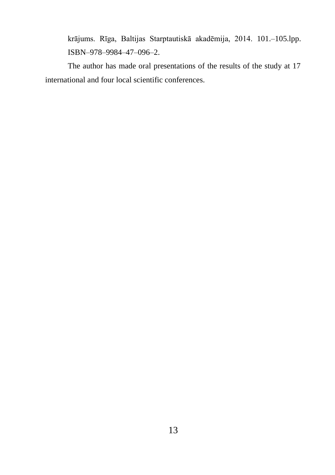krājums. Rīga, Baltijas Starptautiskā akadēmija, 2014. 101.–105.lpp. ISBN–978–9984–47–096–2.

The author has made oral presentations of the results of the study at 17 international and four local scientific conferences.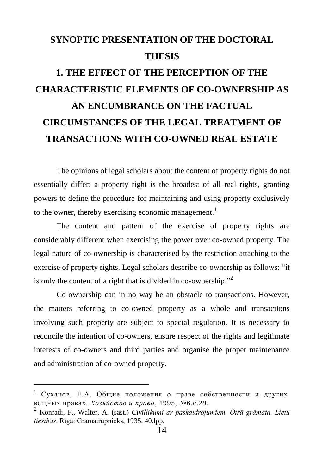### **SYNOPTIC PRESENTATION OF THE DOCTORAL THESIS**

## **1. THE EFFECT OF THE PERCEPTION OF THE CHARACTERISTIC ELEMENTS OF CO-OWNERSHIP AS AN ENCUMBRANCE ON THE FACTUAL CIRCUMSTANCES OF THE LEGAL TREATMENT OF TRANSACTIONS WITH CO-OWNED REAL ESTATE**

The opinions of legal scholars about the content of property rights do not essentially differ: a property right is the broadest of all real rights, granting powers to define the procedure for maintaining and using property exclusively to the owner, thereby exercising economic management.<sup>1</sup>

The content and pattern of the exercise of property rights are considerably different when exercising the power over co-owned property. The legal nature of co-ownership is characterised by the restriction attaching to the exercise of property rights. Legal scholars describe co-ownership as follows: "it is only the content of a right that is divided in co-ownership."<sup>2</sup>

Co-ownership can in no way be an obstacle to transactions. However, the matters referring to co-owned property as a whole and transactions involving such property are subject to special regulation. It is necessary to reconcile the intention of co-owners, ensure respect of the rights and legitimate interests of co-owners and third parties and organise the proper maintenance and administration of co-owned property.

<sup>1</sup> Суханов, Е.А. Общие положения о праве собственности и других вещных правах. *Хозяйство и право*, 1995, №6.c.29.

<sup>2</sup> Konradi, F., Walter, A. (sast.) *Civīllikumi ar paskaidrojumiem. Otrā grāmata. Lietu tiesības*. Rīga: Grāmatrūpnieks, 1935. 40.lpp.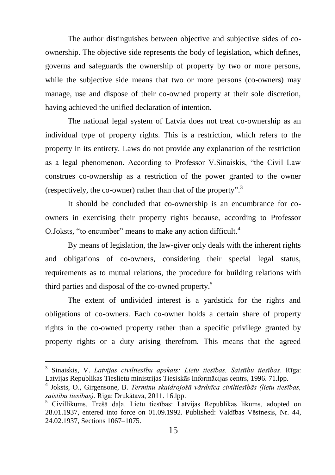The author distinguishes between objective and subjective sides of coownership. The objective side represents the body of legislation, which defines, governs and safeguards the ownership of property by two or more persons, while the subjective side means that two or more persons (co-owners) may manage, use and dispose of their co-owned property at their sole discretion, having achieved the unified declaration of intention.

The national legal system of Latvia does not treat co-ownership as an individual type of property rights. This is a restriction, which refers to the property in its entirety. Laws do not provide any explanation of the restriction as a legal phenomenon. According to Professor V.Sinaiskis, "the Civil Law construes co-ownership as a restriction of the power granted to the owner (respectively, the co-owner) rather than that of the property". 3

It should be concluded that co-ownership is an encumbrance for coowners in exercising their property rights because, according to Professor O.Joksts, "to encumber" means to make any action difficult.<sup>4</sup>

By means of legislation, the law-giver only deals with the inherent rights and obligations of co-owners, considering their special legal status, requirements as to mutual relations, the procedure for building relations with third parties and disposal of the co-owned property. 5

The extent of undivided interest is a yardstick for the rights and obligations of co-owners. Each co-owner holds a certain share of property rights in the co-owned property rather than a specific privilege granted by property rights or a duty arising therefrom. This means that the agreed

<sup>3</sup> Sinaiskis, V. *Latvijas civiltiesību apskats: Lietu tiesības. Saistību tiesības*. Rīga: Latvijas Republikas Tieslietu ministrijas Tiesiskās Informācijas centrs, 1996. 71.lpp.

<sup>4</sup> Joksts, O., Girgensone, B. *Terminu skaidrojošā vārdnīca civiltiesībās (lietu tiesības, saistību tiesības)*. Rīga: Drukātava, 2011. 16.lpp.

<sup>5</sup> Civillikums. Trešā daļa. Lietu tiesības: Latvijas Republikas likums, adopted on 28.01.1937, entered into force on 01.09.1992. Published: Valdības Vēstnesis, Nr. 44, 24.02.1937, Sections 1067–1075.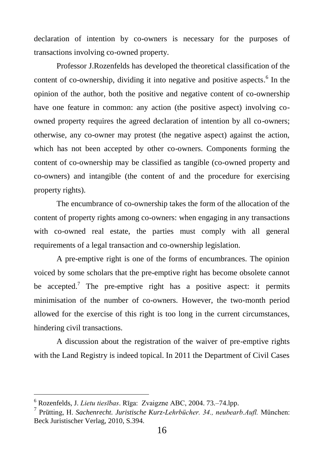declaration of intention by co-owners is necessary for the purposes of transactions involving co-owned property.

Professor J.Rozenfelds has developed the theoretical classification of the content of co-ownership, dividing it into negative and positive aspects. 6 In the opinion of the author, both the positive and negative content of co-ownership have one feature in common: any action (the positive aspect) involving coowned property requires the agreed declaration of intention by all co-owners; otherwise, any co-owner may protest (the negative aspect) against the action, which has not been accepted by other co-owners. Components forming the content of co-ownership may be classified as tangible (co-owned property and co-owners) and intangible (the content of and the procedure for exercising property rights).

The encumbrance of co-ownership takes the form of the allocation of the content of property rights among co-owners: when engaging in any transactions with co-owned real estate, the parties must comply with all general requirements of a legal transaction and co-ownership legislation.

A pre-emptive right is one of the forms of encumbrances. The opinion voiced by some scholars that the pre-emptive right has become obsolete cannot be accepted.<sup>7</sup> The pre-emptive right has a positive aspect: it permits minimisation of the number of co-owners. However, the two-month period allowed for the exercise of this right is too long in the current circumstances, hindering civil transactions.

A discussion about the registration of the waiver of pre-emptive rights with the Land Registry is indeed topical. In 2011 the Department of Civil Cases

<sup>6</sup> Rozenfelds, J. *Lietu tiesības*. Rīga: Zvaigzne ABC, 2004. 73.–74.lpp.

<sup>7</sup> Prütting, H. *Sachenrecht. Juristische Kurz-Lehrbücher. 34., neubearb.Aufl.* München: Beck Juristischer Verlag, 2010, S.394.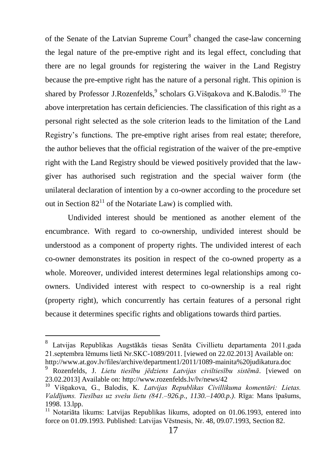of the Senate of the Latvian Supreme Court $^8$  changed the case-law concerning the legal nature of the pre-emptive right and its legal effect, concluding that there are no legal grounds for registering the waiver in the Land Registry because the pre-emptive right has the nature of a personal right. This opinion is shared by Professor J.Rozenfelds,<sup>9</sup> scholars G.Višņakova and K.Balodis.<sup>10</sup> The above interpretation has certain deficiencies. The classification of this right as a personal right selected as the sole criterion leads to the limitation of the Land Registry"s functions. The pre-emptive right arises from real estate; therefore, the author believes that the official registration of the waiver of the pre-emptive right with the Land Registry should be viewed positively provided that the lawgiver has authorised such registration and the special waiver form (the unilateral declaration of intention by a co-owner according to the procedure set out in Section  $82<sup>11</sup>$  of the Notariate Law) is complied with.

Undivided interest should be mentioned as another element of the encumbrance. With regard to co-ownership, undivided interest should be understood as a component of property rights. The undivided interest of each co-owner demonstrates its position in respect of the co-owned property as a whole. Moreover, undivided interest determines legal relationships among coowners. Undivided interest with respect to co-ownership is a real right (property right), which concurrently has certain features of a personal right because it determines specific rights and obligations towards third parties.

<sup>8</sup> Latvijas Republikas Augstākās tiesas Senāta Civillietu departamenta 2011.gada 21.septembra lēmums lietā Nr.SKC-1089/2011. [viewed on 22.02.2013] Available on: <http://www.at.gov.lv/files/archive/department1/2011/1089-mainita%20judikatura.doc>

<sup>9</sup> Rozenfelds, J. *Lietu tiesību jēdziens Latvijas civiltiesību sistēmā*. [viewed on 23.02.2013] Available on[: http://www.rozenfelds.lv/lv/news/42](http://www.rozenfelds.lv/lv/news/42)

<sup>10</sup> Višņakova, G., Balodis, K. *Latvijas Republikas Civillikuma komentāri: Lietas. Valdījums. Tiesības uz svešu lietu (841.–926.p., 1130.–1400.p.)*. Rīga: Mans īpašums, 1998. 13.lpp.

 $11$  Notariāta likums: Latvijas Republikas likums, adopted on 01.06.1993, entered into force on 01.09.1993. Published: Latvijas Vēstnesis, Nr. 48, 09.07.1993, Section 82.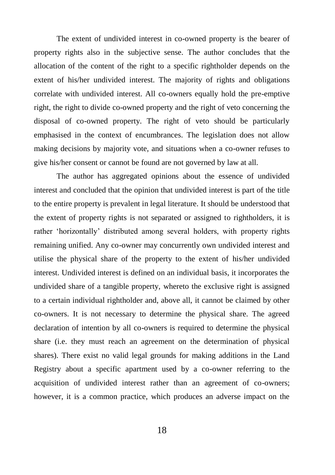The extent of undivided interest in co-owned property is the bearer of property rights also in the subjective sense. The author concludes that the allocation of the content of the right to a specific rightholder depends on the extent of his/her undivided interest. The majority of rights and obligations correlate with undivided interest. All co-owners equally hold the pre-emptive right, the right to divide co-owned property and the right of veto concerning the disposal of co-owned property. The right of veto should be particularly emphasised in the context of encumbrances. The legislation does not allow making decisions by majority vote, and situations when a co-owner refuses to give his/her consent or cannot be found are not governed by law at all.

The author has aggregated opinions about the essence of undivided interest and concluded that the opinion that undivided interest is part of the title to the entire property is prevalent in legal literature. It should be understood that the extent of property rights is not separated or assigned to rightholders, it is rather "horizontally" distributed among several holders, with property rights remaining unified. Any co-owner may concurrently own undivided interest and utilise the physical share of the property to the extent of his/her undivided interest. Undivided interest is defined on an individual basis, it incorporates the undivided share of a tangible property, whereto the exclusive right is assigned to a certain individual rightholder and, above all, it cannot be claimed by other co-owners. It is not necessary to determine the physical share. The agreed declaration of intention by all co-owners is required to determine the physical share (i.e. they must reach an agreement on the determination of physical shares). There exist no valid legal grounds for making additions in the Land Registry about a specific apartment used by a co-owner referring to the acquisition of undivided interest rather than an agreement of co-owners; however, it is a common practice, which produces an adverse impact on the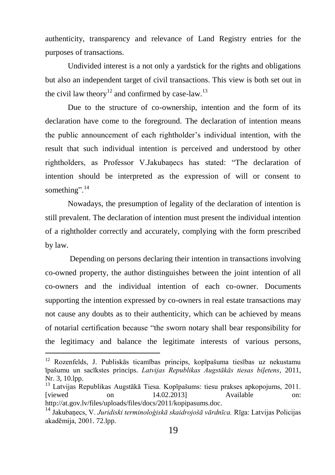authenticity, transparency and relevance of Land Registry entries for the purposes of transactions.

Undivided interest is a not only a yardstick for the rights and obligations but also an independent target of civil transactions. This view is both set out in the civil law theory<sup>12</sup> and confirmed by case-law.<sup>13</sup>

Due to the structure of co-ownership, intention and the form of its declaration have come to the foreground. The declaration of intention means the public announcement of each rightholder"s individual intention, with the result that such individual intention is perceived and understood by other rightholders, as Professor V.Jakubaņecs has stated: "The declaration of intention should be interpreted as the expression of will or consent to something".<sup>14</sup>

Nowadays, the presumption of legality of the declaration of intention is still prevalent. The declaration of intention must present the individual intention of a rightholder correctly and accurately, complying with the form prescribed by law.

Depending on persons declaring their intention in transactions involving co-owned property, the author distinguishes between the joint intention of all co-owners and the individual intention of each co-owner. Documents supporting the intention expressed by co-owners in real estate transactions may not cause any doubts as to their authenticity, which can be achieved by means of notarial certification because "the sworn notary shall bear responsibility for the legitimacy and balance the legitimate interests of various persons,

<sup>12</sup> Rozenfelds, J. Publiskās ticamības princips, kopīpašuma tiesības uz nekustamu īpašumu un sacīkstes princips. *Latvijas Republikas Augstākās tiesas biļetens*, 2011, Nr. 3, 10.lpp.

<sup>13</sup> Latvijas Republikas Augstākā Tiesa. Kopīpašums: tiesu prakses apkopojums, 2011. [viewed on 14.02.2013] Available on: [http://at.gov.lv/files/uploads/files/docs/2011/kopipasums.doc.](http://at.gov.lv/files/uploads/files/docs/2011/kopipasums.doc)

<sup>14</sup> Jakubaņecs, V. *Juridiski terminoloģiskā skaidrojošā vārdnīca.* Rīga: Latvijas Policijas akadēmija, 2001. 72.lpp.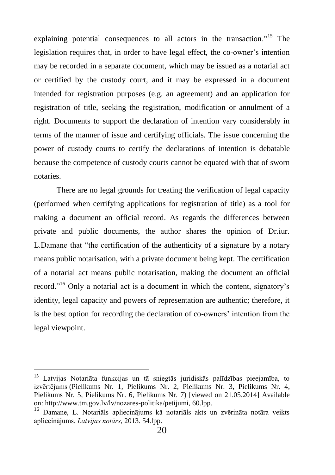explaining potential consequences to all actors in the transaction.<sup>"15</sup> The legislation requires that, in order to have legal effect, the co-owner"s intention may be recorded in a separate document, which may be issued as a notarial act or certified by the custody court, and it may be expressed in a document intended for registration purposes (e.g. an agreement) and an application for registration of title, seeking the registration, modification or annulment of a right. Documents to support the declaration of intention vary considerably in terms of the manner of issue and certifying officials. The issue concerning the power of custody courts to certify the declarations of intention is debatable because the competence of custody courts cannot be equated with that of sworn notaries.

There are no legal grounds for treating the verification of legal capacity (performed when certifying applications for registration of title) as a tool for making a document an official record. As regards the differences between private and public documents, the author shares the opinion of Dr.iur. L.Damane that "the certification of the authenticity of a signature by a notary means public notarisation, with a private document being kept. The certification of a notarial act means public notarisation, making the document an official record."<sup>16</sup> Only a notarial act is a document in which the content, signatory's identity, legal capacity and powers of representation are authentic; therefore, it is the best option for recording the declaration of co-owners" intention from the legal viewpoint.

<sup>&</sup>lt;sup>15</sup> Latvijas Notariāta funkcijas un tā sniegtās juridiskās palīdzības pieejamība, to [izvērtējums](http://www.tm.gov.lv/files/archieve/lv_documents_petijumi_Osipova_petijums_07022009_final.doc) [\(Pielikums Nr. 1,](http://www.tm.gov.lv/files/archieve/lv_documents_petijumi_TM_petijums_Pielikums_Nr_1.doc) [Pielikums Nr. 2,](http://www.tm.gov.lv/files/archieve/lv_documents_petijumi_TM_petijums_Pielikums_Nr_2.doc) [Pielikums Nr. 3,](http://www.tm.gov.lv/files/archieve/lv_documents_petijumi_TM_petijums_Pielikums_Nr_3.doc) [Pielikums Nr. 4,](http://www.tm.gov.lv/files/archieve/lv_documents_petijumi_TM_petijums_Pielikums_Nr_4.doc) [Pielikums Nr. 5,](http://www.tm.gov.lv/files/archieve/lv_documents_petijumi_TM_petijums_Pielikums_Nr_5.doc) [Pielikums Nr. 6,](http://www.tm.gov.lv/files/archieve/lv_documents_petijumi_TM_petijums_Pielikums_Nr_6.doc) [Pielikums Nr. 7\)](http://www.tm.gov.lv/files/archieve/lv_documents_petijumi_TM_petijums_Pielikums_Nr_7.doc) [viewed on 21.05.2014] Available on: http://www.tm.gov.lv/lv/nozares-politika/petijumi, 60.lpp.

<sup>16</sup> Damane, L. Notariāls apliecinājums kā notariāls akts un zvērināta notāra veikts apliecinājums. *Latvijas notārs*, 2013. 54.lpp.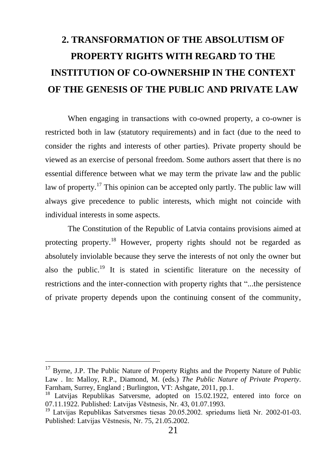### **2. TRANSFORMATION OF THE ABSOLUTISM OF PROPERTY RIGHTS WITH REGARD TO THE INSTITUTION OF CO-OWNERSHIP IN THE CONTEXT OF THE GENESIS OF THE PUBLIC AND PRIVATE LAW**

When engaging in transactions with co-owned property, a co-owner is restricted both in law (statutory requirements) and in fact (due to the need to consider the rights and interests of other parties). Private property should be viewed as an exercise of personal freedom. Some authors assert that there is no essential difference between what we may term the private law and the public law of property.<sup>17</sup> This opinion can be accepted only partly. The public law will always give precedence to public interests, which might not coincide with individual interests in some aspects.

The Constitution of the Republic of Latvia contains provisions aimed at protecting property.<sup>18</sup> However, property rights should not be regarded as absolutely inviolable because they serve the interests of not only the owner but also the public.<sup>19</sup> It is stated in scientific literature on the necessity of restrictions and the inter-connection with property rights that "...the persistence of private property depends upon the continuing consent of the community,

<sup>&</sup>lt;sup>17</sup> Byrne, J.P. The Public Nature of Property Rights and the Property Nature of Public Law . In: Malloy, R.P., Diamond, M. (eds.) *The Public Nature of Private Property*. Farnham, Surrey, England ; Burlington, VT: Ashgate, 2011, pp.1.

<sup>&</sup>lt;sup>18</sup> Latvijas Republikas Satversme, adopted on 15.02.1922, entered into force on 07.11.1922. Published: Latvijas Vēstnesis, Nr. 43, 01.07.1993.

<sup>19</sup> Latvijas Republikas Satversmes tiesas 20.05.2002. spriedums lietā Nr. 2002-01-03. Published: Latvijas Vēstnesis, Nr. 75, 21.05.2002.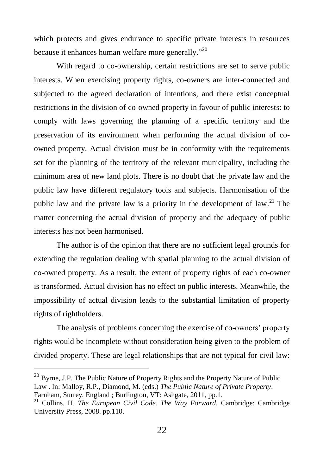which protects and gives endurance to specific private interests in resources because it enhances human welfare more generally."<sup>20</sup>

With regard to co-ownership, certain restrictions are set to serve public interests. When exercising property rights, co-owners are inter-connected and subjected to the agreed declaration of intentions, and there exist conceptual restrictions in the division of co-owned property in favour of public interests: to comply with laws governing the planning of a specific territory and the preservation of its environment when performing the actual division of coowned property. Actual division must be in conformity with the requirements set for the planning of the territory of the relevant municipality, including the minimum area of new land plots. There is no doubt that the private law and the public law have different regulatory tools and subjects. Harmonisation of the public law and the private law is a priority in the development of law.<sup>21</sup> The matter concerning the actual division of property and the adequacy of public interests has not been harmonised.

The author is of the opinion that there are no sufficient legal grounds for extending the regulation dealing with spatial planning to the actual division of co-owned property. As a result, the extent of property rights of each co-owner is transformed. Actual division has no effect on public interests. Meanwhile, the impossibility of actual division leads to the substantial limitation of property rights of rightholders.

The analysis of problems concerning the exercise of co-owners" property rights would be incomplete without consideration being given to the problem of divided property. These are legal relationships that are not typical for civil law:

 $20$  Byrne, J.P. The Public Nature of Property Rights and the Property Nature of Public Law . In: Malloy, R.P., Diamond, M. (eds.) *The Public Nature of Private Property*.

Farnham, Surrey, England ; Burlington, VT: Ashgate, 2011, pp.1.

<sup>&</sup>lt;sup>21</sup> Collins, H. *The European Civil Code. The Way Forward*. Cambridge: Cambridge University Press, 2008. pp.110.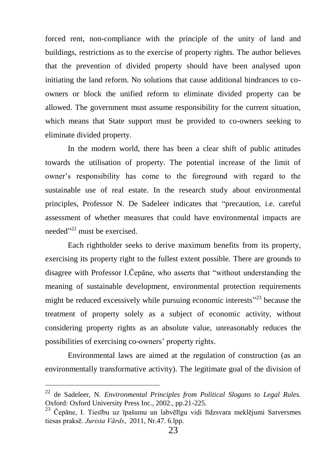forced rent, non-compliance with the principle of the unity of land and buildings, restrictions as to the exercise of property rights. The author believes that the prevention of divided property should have been analysed upon initiating the land reform. No solutions that cause additional hindrances to coowners or block the unified reform to eliminate divided property can be allowed. The government must assume responsibility for the current situation, which means that State support must be provided to co-owners seeking to eliminate divided property.

In the modern world, there has been a clear shift of public attitudes towards the utilisation of property. The potential increase of the limit of owner"s responsibility has come to the foreground with regard to the sustainable use of real estate. In the research study about environmental principles, Professor N. De Sadeleer indicates that "precaution, i.e. careful assessment of whether measures that could have environmental impacts are needed"<sup>22</sup> must be exercised.

Each rightholder seeks to derive maximum benefits from its property, exercising its property right to the fullest extent possible. There are grounds to disagree with Professor I.Čepāne, who asserts that "without understanding the meaning of sustainable development, environmental protection requirements might be reduced excessively while pursuing economic interests<sup>323</sup> because the treatment of property solely as a subject of economic activity, without considering property rights as an absolute value, unreasonably reduces the possibilities of exercising co-owners" property rights.

Environmental laws are aimed at the regulation of construction (as an environmentally transformative activity). The legitimate goal of the division of

<sup>22</sup> de Sadeleer, N. *Environmental Principles from Political Slogans to Legal Rules.*  Oxford: Oxford University Press Inc., 2002., pp.21-225.

<sup>&</sup>lt;sup>23</sup> Čepāne, I. Tiesību uz īpašumu un labvēlīgu vidi līdzsvara meklējumi Satversmes tiesas praksē. *Jurista Vārds*, 2011, Nr.47. 6.lpp.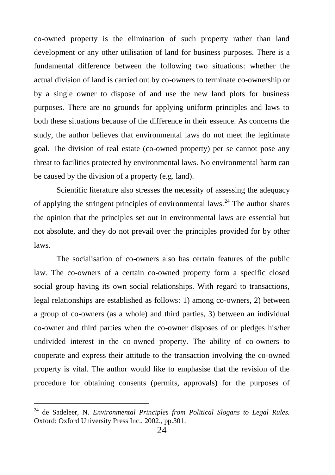co-owned property is the elimination of such property rather than land development or any other utilisation of land for business purposes. There is a fundamental difference between the following two situations: whether the actual division of land is carried out by co-owners to terminate co-ownership or by a single owner to dispose of and use the new land plots for business purposes. There are no grounds for applying uniform principles and laws to both these situations because of the difference in their essence. As concerns the study, the author believes that environmental laws do not meet the legitimate goal. The division of real estate (co-owned property) per se cannot pose any threat to facilities protected by environmental laws. No environmental harm can be caused by the division of a property (e.g. land).

Scientific literature also stresses the necessity of assessing the adequacy of applying the stringent principles of environmental laws.<sup>24</sup> The author shares the opinion that the principles set out in environmental laws are essential but not absolute, and they do not prevail over the principles provided for by other laws.

The socialisation of co-owners also has certain features of the public law. The co-owners of a certain co-owned property form a specific closed social group having its own social relationships. With regard to transactions, legal relationships are established as follows: 1) among co-owners, 2) between a group of co-owners (as a whole) and third parties, 3) between an individual co-owner and third parties when the co-owner disposes of or pledges his/her undivided interest in the co-owned property. The ability of co-owners to cooperate and express their attitude to the transaction involving the co-owned property is vital. The author would like to emphasise that the revision of the procedure for obtaining consents (permits, approvals) for the purposes of

<sup>24</sup> de Sadeleer, N. *Environmental Principles from Political Slogans to Legal Rules.*  Oxford: Oxford University Press Inc., 2002., pp.301.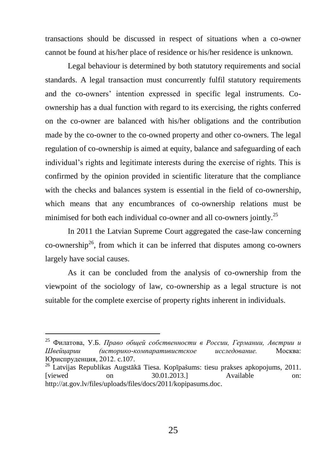transactions should be discussed in respect of situations when a co-owner cannot be found at his/her place of residence or his/her residence is unknown.

Legal behaviour is determined by both statutory requirements and social standards. A legal transaction must concurrently fulfil statutory requirements and the co-owners" intention expressed in specific legal instruments. Coownership has a dual function with regard to its exercising, the rights conferred on the co-owner are balanced with his/her obligations and the contribution made by the co-owner to the co-owned property and other co-owners. The legal regulation of co-ownership is aimed at equity, balance and safeguarding of each individual"s rights and legitimate interests during the exercise of rights. This is confirmed by the opinion provided in scientific literature that the compliance with the checks and balances system is essential in the field of co-ownership, which means that any encumbrances of co-ownership relations must be minimised for both each individual co-owner and all co-owners jointly.<sup>25</sup>

In 2011 the Latvian Supreme Court aggregated the case-law concerning co-ownership<sup>26</sup>, from which it can be inferred that disputes among co-owners largely have social causes.

As it can be concluded from the analysis of co-ownership from the viewpoint of the sociology of law, co-ownership as a legal structure is not suitable for the complete exercise of property rights inherent in individuals.

<sup>25</sup> Филатова, У.Б. *Право общей собственности в России, Германии, Австрии и Швейцарии (историко-компаративистское исследование.* Москва: Юриспруденция, 2012. c.107.

<sup>26</sup> Latvijas Republikas Augstākā Tiesa. Kopīpašums: tiesu prakses apkopojums, 2011. [viewed on 30.01.2013.] Available on: [http://at.gov.lv/files/uploads/files/docs/2011/kopipasums.doc.](http://at.gov.lv/files/uploads/files/docs/2011/kopipasums.doc)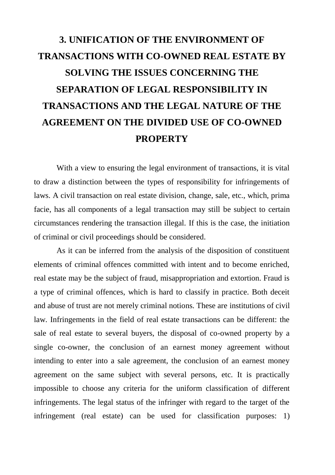## **3. UNIFICATION OF THE ENVIRONMENT OF TRANSACTIONS WITH CO-OWNED REAL ESTATE BY SOLVING THE ISSUES CONCERNING THE SEPARATION OF LEGAL RESPONSIBILITY IN TRANSACTIONS AND THE LEGAL NATURE OF THE AGREEMENT ON THE DIVIDED USE OF CO-OWNED PROPERTY**

With a view to ensuring the legal environment of transactions, it is vital to draw a distinction between the types of responsibility for infringements of laws. A civil transaction on real estate division, change, sale, etc., which, prima facie, has all components of a legal transaction may still be subject to certain circumstances rendering the transaction illegal. If this is the case, the initiation of criminal or civil proceedings should be considered.

As it can be inferred from the analysis of the disposition of constituent elements of criminal offences committed with intent and to become enriched, real estate may be the subject of fraud, misappropriation and extortion. Fraud is a type of criminal offences, which is hard to classify in practice. Both deceit and abuse of trust are not merely criminal notions. These are institutions of civil law. Infringements in the field of real estate transactions can be different: the sale of real estate to several buyers, the disposal of co-owned property by a single co-owner, the conclusion of an earnest money agreement without intending to enter into a sale agreement, the conclusion of an earnest money agreement on the same subject with several persons, etc. It is practically impossible to choose any criteria for the uniform classification of different infringements. The legal status of the infringer with regard to the target of the infringement (real estate) can be used for classification purposes: 1)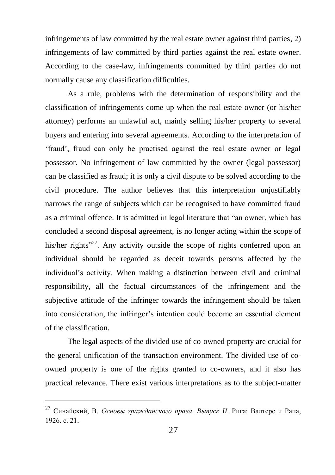infringements of law committed by the real estate owner against third parties, 2) infringements of law committed by third parties against the real estate owner. According to the case-law, infringements committed by third parties do not normally cause any classification difficulties.

As a rule, problems with the determination of responsibility and the classification of infringements come up when the real estate owner (or his/her attorney) performs an unlawful act, mainly selling his/her property to several buyers and entering into several agreements. According to the interpretation of "fraud", fraud can only be practised against the real estate owner or legal possessor. No infringement of law committed by the owner (legal possessor) can be classified as fraud; it is only a civil dispute to be solved according to the civil procedure. The author believes that this interpretation unjustifiably narrows the range of subjects which can be recognised to have committed fraud as a criminal offence. It is admitted in legal literature that "an owner, which has concluded a second disposal agreement, is no longer acting within the scope of his/her rights<sup>227</sup>. Any activity outside the scope of rights conferred upon an individual should be regarded as deceit towards persons affected by the individual"s activity. When making a distinction between civil and criminal responsibility, all the factual circumstances of the infringement and the subjective attitude of the infringer towards the infringement should be taken into consideration, the infringer"s intention could become an essential element of the classification.

The legal aspects of the divided use of co-owned property are crucial for the general unification of the transaction environment. The divided use of coowned property is one of the rights granted to co-owners, and it also has practical relevance. There exist various interpretations as to the subject-matter

<sup>27</sup> Синайский, В. *Основы гражданского права. Выпуск II*. Рига: Валтерс и Рапа, 1926. с. 21.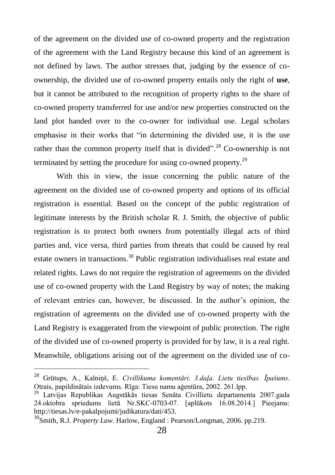of the agreement on the divided use of co-owned property and the registration of the agreement with the Land Registry because this kind of an agreement is not defined by laws. The author stresses that, judging by the essence of coownership, the divided use of co-owned property entails only the right of **use**, but it cannot be attributed to the recognition of property rights to the share of co-owned property transferred for use and/or new properties constructed on the land plot handed over to the co-owner for individual use. Legal scholars emphasise in their works that "in determining the divided use, it is the use rather than the common property itself that is divided".<sup>28</sup> Co-ownership is not terminated by setting the procedure for using co-owned property.<sup>29</sup>

With this in view, the issue concerning the public nature of the agreement on the divided use of co-owned property and options of its official registration is essential. Based on the concept of the public registration of legitimate interests by the British scholar R. J. Smith, the objective of public registration is to protect both owners from potentially illegal acts of third parties and, vice versa, third parties from threats that could be caused by real estate owners in transactions.<sup>30</sup> Public registration individualises real estate and related rights. Laws do not require the registration of agreements on the divided use of co-owned property with the Land Registry by way of notes; the making of relevant entries can, however, be discussed. In the author"s opinion, the registration of agreements on the divided use of co-owned property with the Land Registry is exaggerated from the viewpoint of public protection. The right of the divided use of co-owned property is provided for by law, it is a real right. Meanwhile, obligations arising out of the agreement on the divided use of co-

<sup>28</sup> Grūtups, A., Kalniņš, E. *Civillikuma komentāri. 3.daļa. Lietu tiesības. Īpašums*. Otrais, papildinātais izdevums. Rīga: Tiesu namu aģentūra, 2002. 261.lpp.

<sup>29</sup> Latvijas Republikas Augstākās tiesas Senāta Civillietu departamenta 2007.gada 24.oktobra spriedums lietā Nr.SKC-0703-07. [aplūkots 16.08.2014.] Pieejams: [http://tiesas.lv/e-pakalpojumi/judikatura/dati/453.](http://tiesas.lv/e-pakalpojumi/judikatura/dati/453)

<sup>30</sup>Smith, R.J. *Property Law*. Harlow, England : Pearson/Longman, 2006. pp.219.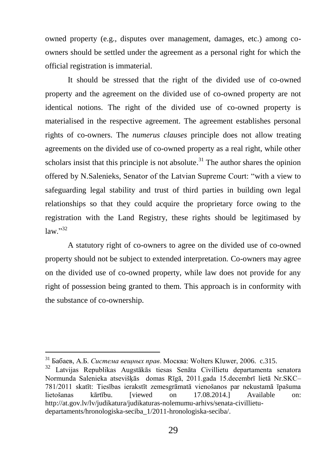owned property (e.g., disputes over management, damages, etc.) among coowners should be settled under the agreement as a personal right for which the official registration is immaterial.

It should be stressed that the right of the divided use of co-owned property and the agreement on the divided use of co-owned property are not identical notions. The right of the divided use of co-owned property is materialised in the respective agreement. The agreement establishes personal rights of co-owners. The *numerus clauses* principle does not allow treating agreements on the divided use of co-owned property as a real right, while other scholars insist that this principle is not absolute.<sup>31</sup> The author shares the opinion offered by N.Salenieks, Senator of the Latvian Supreme Court: "with a view to safeguarding legal stability and trust of third parties in building own legal relationships so that they could acquire the proprietary force owing to the registration with the Land Registry, these rights should be legitimased by  $law$ <sup>"32</sup>

A statutory right of co-owners to agree on the divided use of co-owned property should not be subject to extended interpretation. Co-owners may agree on the divided use of co-owned property, while law does not provide for any right of possession being granted to them. This approach is in conformity with the substance of co-ownership.

<sup>31</sup> Бабаев, А.Б. *Система вещных прав*. Москва: Wolters Kluwer, 2006. c.315.

<sup>32</sup> Latvijas Republikas Augstākās tiesas Senāta Civillietu departamenta senatora Normunda Salenieka atsevišķās domas Rīgā, 2011.gada 15.decembrī lietā Nr.SKC– 781/2011 skatīt: [Tiesības ierakstīt zemesgrāmatā vienošanos par nekustamā īpašuma](http://at.gov.lv/files/uploads/files/archive/department1/2011/781-skc-2011+salenieks.doc)  [lietošanas kārtību.](http://at.gov.lv/files/uploads/files/archive/department1/2011/781-skc-2011+salenieks.doc) [viewed on 17.08.2014.] Available on: [http://at.gov.lv/lv/judikatura/judikaturas-nolemumu-arhivs/senata-civillietu](http://at.gov.lv/lv/judikatura/judikaturas-nolemumu-arhivs/senata-civillietu-departaments/hronologiska-seciba_1/2011-hronologiska-seciba/)[departaments/hronologiska-seciba\\_1/2011-hronologiska-seciba/.](http://at.gov.lv/lv/judikatura/judikaturas-nolemumu-arhivs/senata-civillietu-departaments/hronologiska-seciba_1/2011-hronologiska-seciba/)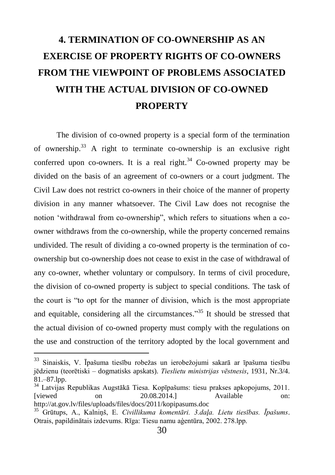## **4. TERMINATION OF CO-OWNERSHIP AS AN EXERCISE OF PROPERTY RIGHTS OF CO-OWNERS FROM THE VIEWPOINT OF PROBLEMS ASSOCIATED WITH THE ACTUAL DIVISION OF CO-OWNED PROPERTY**

The division of co-owned property is a special form of the termination of ownership. <sup>33</sup> A right to terminate co-ownership is an exclusive right conferred upon co-owners. It is a real right.<sup>34</sup> Co-owned property may be divided on the basis of an agreement of co-owners or a court judgment. The Civil Law does not restrict co-owners in their choice of the manner of property division in any manner whatsoever. The Civil Law does not recognise the notion "withdrawal from co-ownership", which refers to situations when a coowner withdraws from the co-ownership, while the property concerned remains undivided. The result of dividing a co-owned property is the termination of coownership but co-ownership does not cease to exist in the case of withdrawal of any co-owner, whether voluntary or compulsory. In terms of civil procedure, the division of co-owned property is subject to special conditions. The task of the court is "to opt for the manner of division, which is the most appropriate and equitable, considering all the circumstances."<sup>35</sup> It should be stressed that the actual division of co-owned property must comply with the regulations on the use and construction of the territory adopted by the local government and

<sup>33</sup> Sinaiskis, V. Īpašuma tiesību robežas un ierobežojumi sakarā ar īpašuma tiesību jēdzienu (teorētiski – dogmatisks apskats). *Tieslietu ministrijas vēstnesis*, 1931, Nr.3/4. 81.–87.lpp.

<sup>34</sup> Latvijas Republikas Augstākā Tiesa. Kopīpašums: tiesu prakses apkopojums, 2011. [viewed on 20.08.2014.] Available on: <http://at.gov.lv/files/uploads/files/docs/2011/kopipasums.doc>

<sup>35</sup> Grūtups, A., Kalniņš, E. *Civillikuma komentāri. 3.daļa. Lietu tiesības. Īpašums*. Otrais, papildinātais izdevums. Rīga: Tiesu namu aģentūra, 2002. 278.lpp.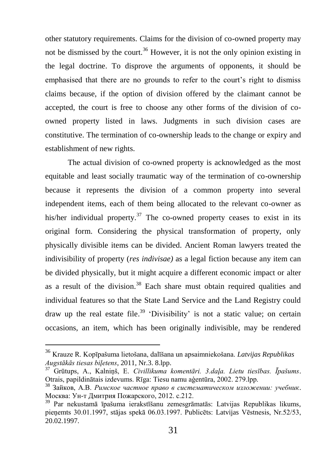other statutory requirements. Claims for the division of co-owned property may not be dismissed by the court.<sup>36</sup> However, it is not the only opinion existing in the legal doctrine. To disprove the arguments of opponents, it should be emphasised that there are no grounds to refer to the court"s right to dismiss claims because, if the option of division offered by the claimant cannot be accepted, the court is free to choose any other forms of the division of coowned property listed in laws. Judgments in such division cases are constitutive. The termination of co-ownership leads to the change or expiry and establishment of new rights.

The actual division of co-owned property is acknowledged as the most equitable and least socially traumatic way of the termination of co-ownership because it represents the division of a common property into several independent items, each of them being allocated to the relevant co-owner as his/her individual property.<sup>37</sup> The co-owned property ceases to exist in its original form. Considering the physical transformation of property, only physically divisible items can be divided. Ancient Roman lawyers treated the indivisibility of property (*res indivisae)* as a legal fiction because any item can be divided physically, but it might acquire a different economic impact or alter as a result of the division.<sup>38</sup> Each share must obtain required qualities and individual features so that the State Land Service and the Land Registry could draw up the real estate file.<sup>39</sup> 'Divisibility' is not a static value; on certain occasions, an item, which has been originally indivisible, may be rendered

<sup>36</sup> Krauze R. Kopīpašuma lietošana, dalīšana un apsaimniekošana. *Latvijas Republikas Augstākās tiesas biļetens*, 2011, Nr.3. 8.lpp.

<sup>37</sup> Grūtups, A., Kalniņš, E. *Civillikuma komentāri. 3.daļa. Lietu tiesības. Īpašums*. Otrais, papildinātais izdevums. Rīga: Tiesu namu aģentūra, 2002. 279.lpp.

<sup>38</sup> Зайков, А.В. *Римское частное право в систематическом изложении: учебник*. Москва: Ун-т Дмитрия Пожарского, 2012. c.212.

<sup>39</sup> Par nekustamā īpašuma ierakstīšanu zemesgrāmatās: Latvijas Republikas likums, pieņemts 30.01.1997, stājas spekā 06.03.1997. Publicēts: [Latvijas](https://www.vestnesis.lv/?menu=doc&id=42284) Vēstnesis, Nr.52/53, 20.02.1997.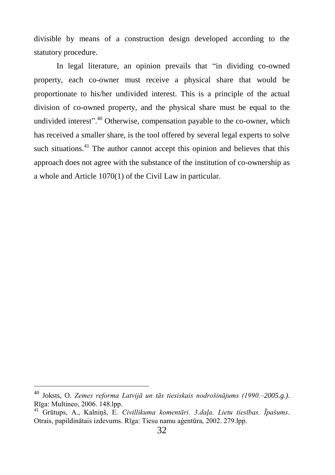divisible by means of a construction design developed according to the statutory procedure.

In legal literature, an opinion prevails that "in dividing co-owned property, each co-owner must receive a physical share that would be proportionate to his/her undivided interest. This is a principle of the actual division of co-owned property, and the physical share must be equal to the undivided interest".<sup>40</sup> Otherwise, compensation payable to the co-owner, which has received a smaller share, is the tool offered by several legal experts to solve such situations.<sup>41</sup> The author cannot accept this opinion and believes that this approach does not agree with the substance of the institution of co-ownership as a whole and Article 1070(1) of the Civil Law in particular.

<sup>40</sup> Joksts, O. *Zemes reforma Latvijā un tās tiesiskais nodrošinājums (1990.–2005.g.).*  Rīga: Multineo, 2006. 148.lpp.

<sup>41</sup> Grūtups, A., Kalniņš, E. *Civillikuma komentāri. 3.daļa. Lietu tiesības. Īpašums*. Otrais, papildinātais izdevums. Rīga: Tiesu namu aģentūra, 2002. 279.lpp.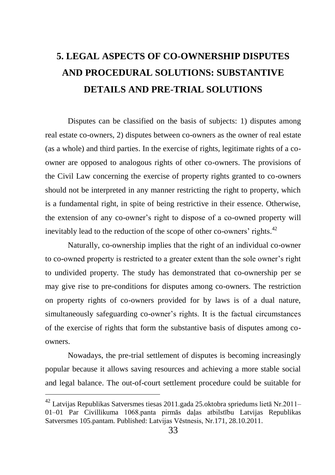### **5. LEGAL ASPECTS OF CO-OWNERSHIP DISPUTES AND PROCEDURAL SOLUTIONS: SUBSTANTIVE DETAILS AND PRE-TRIAL SOLUTIONS**

Disputes can be classified on the basis of subjects: 1) disputes among real estate co-owners, 2) disputes between co-owners as the owner of real estate (as a whole) and third parties. In the exercise of rights, legitimate rights of a coowner are opposed to analogous rights of other co-owners. The provisions of the Civil Law concerning the exercise of property rights granted to co-owners should not be interpreted in any manner restricting the right to property, which is a fundamental right, in spite of being restrictive in their essence. Otherwise, the extension of any co-owner"s right to dispose of a co-owned property will inevitably lead to the reduction of the scope of other co-owners' rights. $42$ 

Naturally, co-ownership implies that the right of an individual co-owner to co-owned property is restricted to a greater extent than the sole owner"s right to undivided property. The study has demonstrated that co-ownership per se may give rise to pre-conditions for disputes among co-owners. The restriction on property rights of co-owners provided for by laws is of a dual nature, simultaneously safeguarding co-owner"s rights. It is the factual circumstances of the exercise of rights that form the substantive basis of disputes among coowners.

Nowadays, the pre-trial settlement of disputes is becoming increasingly popular because it allows saving resources and achieving a more stable social and legal balance. The out-of-court settlement procedure could be suitable for

 $^{42}$  Latvijas Republikas Satversmes tiesas 2011.gada 25.oktobra spriedums lietā Nr.2011– 01–01 Par [Civillikuma](http://www.likumi.lv/doc.php?id=225418) 1068.panta pirmās daļas atbilstību [Latvijas Republikas](http://www.likumi.lv/doc.php?id=57980)  [Satversmes](http://www.likumi.lv/doc.php?id=57980) 105.pantam. Published: Latvijas Vēstnesis, Nr.171, 28.10.2011.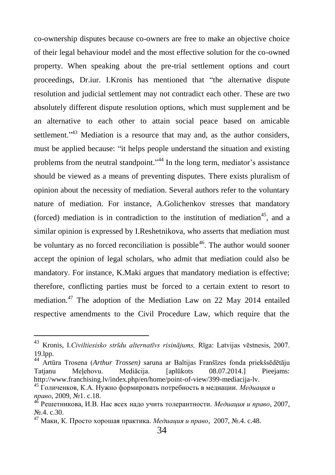co-ownership disputes because co-owners are free to make an objective choice of their legal behaviour model and the most effective solution for the co-owned property. When speaking about the pre-trial settlement options and court proceedings, Dr.iur. I.Kronis has mentioned that "the alternative dispute resolution and judicial settlement may not contradict each other. These are two absolutely different dispute resolution options, which must supplement and be an alternative to each other to attain social peace based on amicable settlement."<sup>43</sup> Mediation is a resource that may and, as the author considers, must be applied because: "it helps people understand the situation and existing problems from the neutral standpoint."<sup>44</sup> In the long term, mediator's assistance should be viewed as a means of preventing disputes. There exists pluralism of opinion about the necessity of mediation. Several authors refer to the voluntary nature of mediation. For instance, A.Golichenkov stresses that mandatory (forced) mediation is in contradiction to the institution of mediation<sup>45</sup>, and a similar opinion is expressed by I.Reshetnikova, who asserts that mediation must be voluntary as no forced reconciliation is possible<sup>46</sup>. The author would sooner accept the opinion of legal scholars, who admit that mediation could also be mandatory. For instance, K.Maki argues that mandatory mediation is effective; therefore, conflicting parties must be forced to a certain extent to resort to mediation.<sup>47</sup> The adoption of the Mediation Law on 22 May 2014 entailed respective amendments to the Civil Procedure Law, which require that the

<sup>43</sup> Kronis, I.*Civiltiesisko strīdu alternatīvs risinājums,* Rīga: Latvijas vēstnesis, 2007. 19.lpp.

<sup>44</sup> Artūra Trosena (*Arthur Trossen)* saruna ar Baltijas Franšīzes fonda priekšsēdētāju Tatjanu Meļehovu. Mediācija. [aplūkots 08.07.2014.] Pieejams: [http://www.franchising.lv/index.php/en/home/point-of-view/399-mediacija-lv.](http://www.franchising.lv/index.php/en/home/point-of-view/399-mediacija-lv)

<sup>45</sup> Голиченков, К.А. Нужно формировать потребность в медиации. *Медиация и право*, 2009, №1. c.18.

<sup>46</sup> Решетникова, И.В. Нас всех надо учить толерантности. *Медиация и право*, 2007, No. 4 c. 30.

<sup>47</sup> Маки, К. Просто хорошая практика. *Медиация и право*, 2007, №.4. c.48.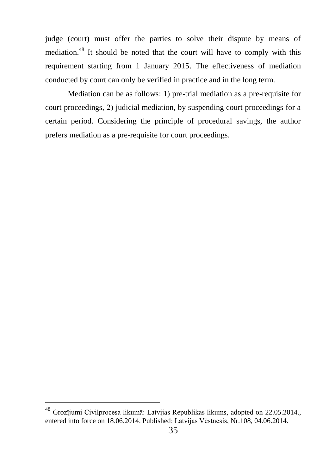judge (court) must offer the parties to solve their dispute by means of mediation.<sup>48</sup> It should be noted that the court will have to comply with this requirement starting from 1 January 2015. The effectiveness of mediation conducted by court can only be verified in practice and in the long term.

Mediation can be as follows: 1) pre-trial mediation as a pre-requisite for court proceedings, 2) judicial mediation, by suspending court proceedings for a certain period. Considering the principle of procedural savings, the author prefers mediation as a pre-requisite for court proceedings.

<sup>48</sup> Grozījumi Civilprocesa likumā: Latvijas Republikas likums, adopted on 22.05.2014., entered into force on 18.06.2014. Published: Latvijas Vēstnesis, Nr.108, 04.06.2014.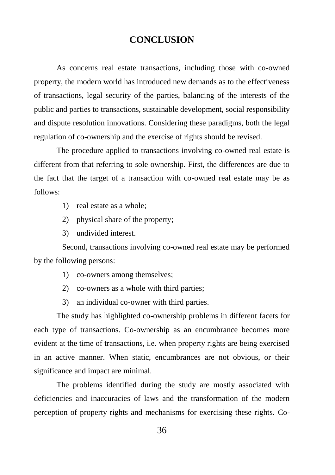#### **CONCLUSION**

As concerns real estate transactions, including those with co-owned property, the modern world has introduced new demands as to the effectiveness of transactions, legal security of the parties, balancing of the interests of the public and parties to transactions, sustainable development, social responsibility and dispute resolution innovations. Considering these paradigms, both the legal regulation of co-ownership and the exercise of rights should be revised.

The procedure applied to transactions involving co-owned real estate is different from that referring to sole ownership. First, the differences are due to the fact that the target of a transaction with co-owned real estate may be as follows:

- 1) real estate as a whole;
- 2) physical share of the property;
- 3) undivided interest.

Second, transactions involving co-owned real estate may be performed by the following persons:

- 1) co-owners among themselves;
- 2) co-owners as a whole with third parties;
- 3) an individual co-owner with third parties.

The study has highlighted co-ownership problems in different facets for each type of transactions. Co-ownership as an encumbrance becomes more evident at the time of transactions, i.e. when property rights are being exercised in an active manner. When static, encumbrances are not obvious, or their significance and impact are minimal.

The problems identified during the study are mostly associated with deficiencies and inaccuracies of laws and the transformation of the modern perception of property rights and mechanisms for exercising these rights. Co-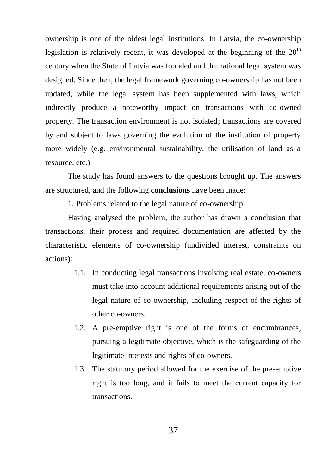ownership is one of the oldest legal institutions. In Latvia, the co-ownership legislation is relatively recent, it was developed at the beginning of the  $20<sup>th</sup>$ century when the State of Latvia was founded and the national legal system was designed. Since then, the legal framework governing co-ownership has not been updated, while the legal system has been supplemented with laws, which indirectly produce a noteworthy impact on transactions with co-owned property. The transaction environment is not isolated; transactions are covered by and subject to laws governing the evolution of the institution of property more widely (e.g. environmental sustainability, the utilisation of land as a resource, etc.)

The study has found answers to the questions brought up. The answers are structured, and the following **conclusions** have been made:

1. Problems related to the legal nature of co-ownership.

Having analysed the problem, the author has drawn a conclusion that transactions, their process and required documentation are affected by the characteristic elements of co-ownership (undivided interest, constraints on actions):

- 1.1. In conducting legal transactions involving real estate, co-owners must take into account additional requirements arising out of the legal nature of co-ownership, including respect of the rights of other co-owners.
- 1.2. A pre-emptive right is one of the forms of encumbrances, pursuing a legitimate objective, which is the safeguarding of the legitimate interests and rights of co-owners.
- 1.3. The statutory period allowed for the exercise of the pre-emptive right is too long, and it fails to meet the current capacity for transactions.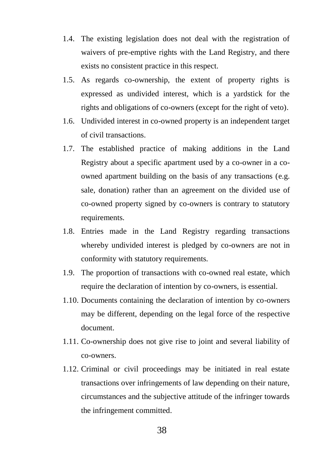- 1.4. The existing legislation does not deal with the registration of waivers of pre-emptive rights with the Land Registry, and there exists no consistent practice in this respect.
- 1.5. As regards co-ownership, the extent of property rights is expressed as undivided interest, which is a yardstick for the rights and obligations of co-owners (except for the right of veto).
- 1.6. Undivided interest in co-owned property is an independent target of civil transactions.
- 1.7. The established practice of making additions in the Land Registry about a specific apartment used by a co-owner in a coowned apartment building on the basis of any transactions (e.g. sale, donation) rather than an agreement on the divided use of co-owned property signed by co-owners is contrary to statutory requirements.
- 1.8. Entries made in the Land Registry regarding transactions whereby undivided interest is pledged by co-owners are not in conformity with statutory requirements.
- 1.9. The proportion of transactions with co-owned real estate, which require the declaration of intention by co-owners, is essential.
- 1.10. Documents containing the declaration of intention by co-owners may be different, depending on the legal force of the respective document.
- 1.11. Co-ownership does not give rise to joint and several liability of co-owners.
- 1.12. Criminal or civil proceedings may be initiated in real estate transactions over infringements of law depending on their nature, circumstances and the subjective attitude of the infringer towards the infringement committed.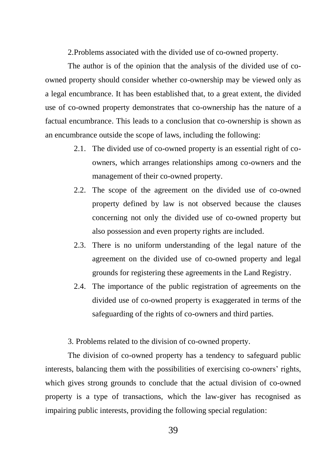2.Problems associated with the divided use of co-owned property.

The author is of the opinion that the analysis of the divided use of coowned property should consider whether co-ownership may be viewed only as a legal encumbrance. It has been established that, to a great extent, the divided use of co-owned property demonstrates that co-ownership has the nature of a factual encumbrance. This leads to a conclusion that co-ownership is shown as an encumbrance outside the scope of laws, including the following:

- 2.1. The divided use of co-owned property is an essential right of coowners, which arranges relationships among co-owners and the management of their co-owned property.
- 2.2. The scope of the agreement on the divided use of co-owned property defined by law is not observed because the clauses concerning not only the divided use of co-owned property but also possession and even property rights are included.
- 2.3. There is no uniform understanding of the legal nature of the agreement on the divided use of co-owned property and legal grounds for registering these agreements in the Land Registry.
- 2.4. The importance of the public registration of agreements on the divided use of co-owned property is exaggerated in terms of the safeguarding of the rights of co-owners and third parties.

3. Problems related to the division of co-owned property.

The division of co-owned property has a tendency to safeguard public interests, balancing them with the possibilities of exercising co-owners" rights, which gives strong grounds to conclude that the actual division of co-owned property is a type of transactions, which the law-giver has recognised as impairing public interests, providing the following special regulation: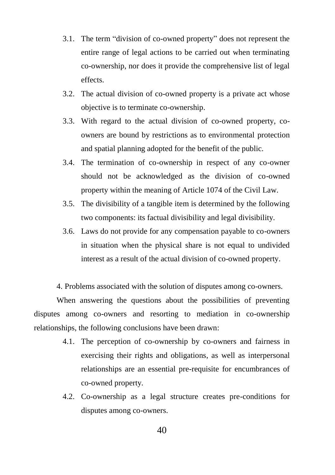- 3.1. The term "division of co-owned property" does not represent the entire range of legal actions to be carried out when terminating co-ownership, nor does it provide the comprehensive list of legal effects.
- 3.2. The actual division of co-owned property is a private act whose objective is to terminate co-ownership.
- 3.3. With regard to the actual division of co-owned property, coowners are bound by restrictions as to environmental protection and spatial planning adopted for the benefit of the public.
- 3.4. The termination of co-ownership in respect of any co-owner should not be acknowledged as the division of co-owned property within the meaning of Article 1074 of the Civil Law.
- 3.5. The divisibility of a tangible item is determined by the following two components: its factual divisibility and legal divisibility.
- 3.6. Laws do not provide for any compensation payable to co-owners in situation when the physical share is not equal to undivided interest as a result of the actual division of co-owned property.

4. Problems associated with the solution of disputes among co-owners.

When answering the questions about the possibilities of preventing disputes among co-owners and resorting to mediation in co-ownership relationships, the following conclusions have been drawn:

- 4.1. The perception of co-ownership by co-owners and fairness in exercising their rights and obligations, as well as interpersonal relationships are an essential pre-requisite for encumbrances of co-owned property.
- 4.2. Co-ownership as a legal structure creates pre-conditions for disputes among co-owners.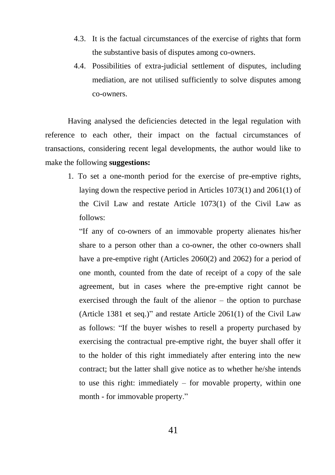- 4.3. It is the factual circumstances of the exercise of rights that form the substantive basis of disputes among co-owners.
- 4.4. Possibilities of extra-judicial settlement of disputes, including mediation, are not utilised sufficiently to solve disputes among co-owners.

Having analysed the deficiencies detected in the legal regulation with reference to each other, their impact on the factual circumstances of transactions, considering recent legal developments, the author would like to make the following **suggestions:**

1. To set a one-month period for the exercise of pre-emptive rights, laying down the respective period in Articles 1073(1) and 2061(1) of the Civil Law and restate Article 1073(1) of the Civil Law as follows:

"If any of co-owners of an immovable property alienates his/her share to a person other than a co-owner, the other co-owners shall have a pre-emptive right (Articles 2060(2) and 2062) for a period of one month, counted from the date of receipt of a copy of the sale agreement, but in cases where the pre-emptive right cannot be exercised through the fault of the alienor – the option to purchase (Article 1381 et seq.)" and restate Article 2061(1) of the Civil Law as follows: "If the buyer wishes to resell a property purchased by exercising the contractual pre-emptive right, the buyer shall offer it to the holder of this right immediately after entering into the new contract; but the latter shall give notice as to whether he/she intends to use this right: immediately – for movable property, within one month - for immovable property."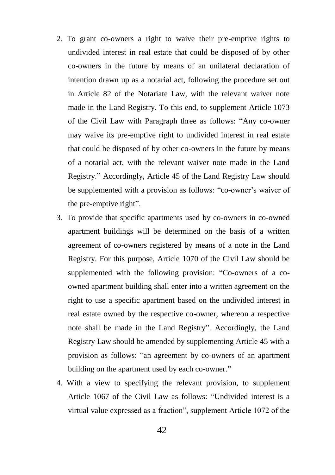- 2. To grant co-owners a right to waive their pre-emptive rights to undivided interest in real estate that could be disposed of by other co-owners in the future by means of an unilateral declaration of intention drawn up as a notarial act, following the procedure set out in Article 82 of the Notariate Law, with the relevant waiver note made in the Land Registry. To this end, to supplement Article 1073 of the Civil Law with Paragraph three as follows: "Any co-owner may waive its pre-emptive right to undivided interest in real estate that could be disposed of by other co-owners in the future by means of a notarial act, with the relevant waiver note made in the Land Registry." Accordingly, Article 45 of the Land Registry Law should be supplemented with a provision as follows: "co-owner's waiver of the pre-emptive right".
- 3. To provide that specific apartments used by co-owners in co-owned apartment buildings will be determined on the basis of a written agreement of co-owners registered by means of a note in the Land Registry. For this purpose, Article 1070 of the Civil Law should be supplemented with the following provision: "Co-owners of a coowned apartment building shall enter into a written agreement on the right to use a specific apartment based on the undivided interest in real estate owned by the respective co-owner, whereon a respective note shall be made in the Land Registry". Accordingly, the Land Registry Law should be amended by supplementing Article 45 with a provision as follows: "an agreement by co-owners of an apartment building on the apartment used by each co-owner."
- 4. With a view to specifying the relevant provision, to supplement Article 1067 of the Civil Law as follows: "Undivided interest is a virtual value expressed as a fraction", supplement Article 1072 of the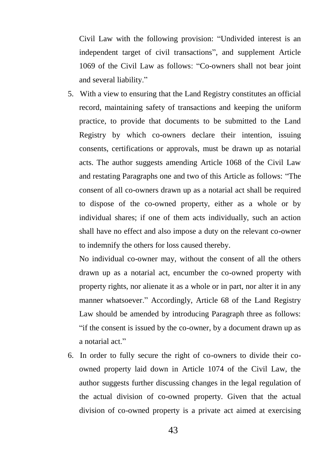Civil Law with the following provision: "Undivided interest is an independent target of civil transactions", and supplement Article 1069 of the Civil Law as follows: "Co-owners shall not bear joint and several liability."

5. With a view to ensuring that the Land Registry constitutes an official record, maintaining safety of transactions and keeping the uniform practice, to provide that documents to be submitted to the Land Registry by which co-owners declare their intention, issuing consents, certifications or approvals, must be drawn up as notarial acts. The author suggests amending Article 1068 of the Civil Law and restating Paragraphs one and two of this Article as follows: "The consent of all co-owners drawn up as a notarial act shall be required to dispose of the co-owned property, either as a whole or by individual shares; if one of them acts individually, such an action shall have no effect and also impose a duty on the relevant co-owner to indemnify the others for loss caused thereby.

No individual co-owner may, without the consent of all the others drawn up as a notarial act, encumber the co-owned property with property rights, nor alienate it as a whole or in part, nor alter it in any manner whatsoever." Accordingly, Article 68 of the Land Registry Law should be amended by introducing Paragraph three as follows: "if the consent is issued by the co-owner, by a document drawn up as a notarial act."

6. In order to fully secure the right of co-owners to divide their coowned property laid down in Article 1074 of the Civil Law, the author suggests further discussing changes in the legal regulation of the actual division of co-owned property. Given that the actual division of co-owned property is a private act aimed at exercising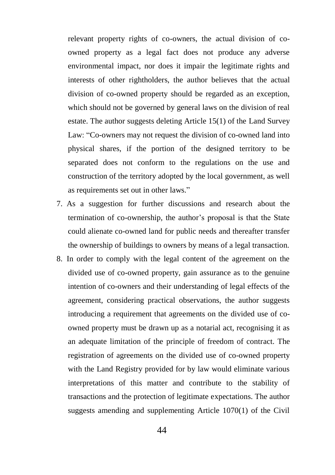relevant property rights of co-owners, the actual division of coowned property as a legal fact does not produce any adverse environmental impact, nor does it impair the legitimate rights and interests of other rightholders, the author believes that the actual division of co-owned property should be regarded as an exception, which should not be governed by general laws on the division of real estate. The author suggests deleting Article 15(1) of the Land Survey Law: "Co-owners may not request the division of co-owned land into physical shares, if the portion of the designed territory to be separated does not conform to the regulations on the use and construction of the territory adopted by the local government, as well as requirements set out in other laws."

- 7. As a suggestion for further discussions and research about the termination of co-ownership, the author"s proposal is that the State could alienate co-owned land for public needs and thereafter transfer the ownership of buildings to owners by means of a legal transaction.
- 8. In order to comply with the legal content of the agreement on the divided use of co-owned property, gain assurance as to the genuine intention of co-owners and their understanding of legal effects of the agreement, considering practical observations, the author suggests introducing a requirement that agreements on the divided use of coowned property must be drawn up as a notarial act, recognising it as an adequate limitation of the principle of freedom of contract. The registration of agreements on the divided use of co-owned property with the Land Registry provided for by law would eliminate various interpretations of this matter and contribute to the stability of transactions and the protection of legitimate expectations. The author suggests amending and supplementing Article 1070(1) of the Civil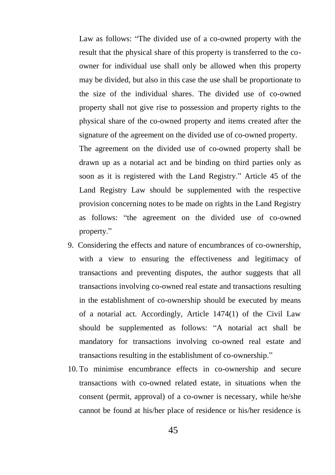Law as follows: "The divided use of a co-owned property with the result that the physical share of this property is transferred to the coowner for individual use shall only be allowed when this property may be divided, but also in this case the use shall be proportionate to the size of the individual shares. The divided use of co-owned property shall not give rise to possession and property rights to the physical share of the co-owned property and items created after the signature of the agreement on the divided use of co-owned property.

The agreement on the divided use of co-owned property shall be drawn up as a notarial act and be binding on third parties only as soon as it is registered with the Land Registry." Article 45 of the Land Registry Law should be supplemented with the respective provision concerning notes to be made on rights in the Land Registry as follows: "the agreement on the divided use of co-owned property."

- 9. Considering the effects and nature of encumbrances of co-ownership, with a view to ensuring the effectiveness and legitimacy of transactions and preventing disputes, the author suggests that all transactions involving co-owned real estate and transactions resulting in the establishment of co-ownership should be executed by means of a notarial act. Accordingly, Article 1474(1) of the Civil Law should be supplemented as follows: "A notarial act shall be mandatory for transactions involving co-owned real estate and transactions resulting in the establishment of co-ownership."
- 10. To minimise encumbrance effects in co-ownership and secure transactions with co-owned related estate, in situations when the consent (permit, approval) of a co-owner is necessary, while he/she cannot be found at his/her place of residence or his/her residence is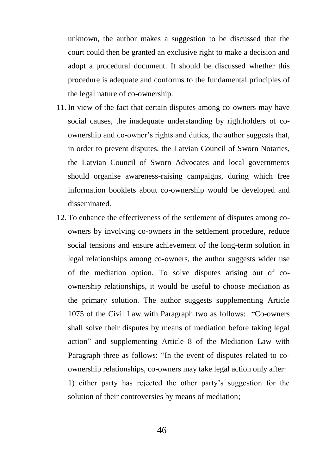unknown, the author makes a suggestion to be discussed that the court could then be granted an exclusive right to make a decision and adopt a procedural document. It should be discussed whether this procedure is adequate and conforms to the fundamental principles of the legal nature of co-ownership.

- 11. In view of the fact that certain disputes among co-owners may have social causes, the inadequate understanding by rightholders of coownership and co-owner"s rights and duties, the author suggests that, in order to prevent disputes, the Latvian Council of Sworn Notaries, the Latvian Council of Sworn Advocates and local governments should organise awareness-raising campaigns, during which free information booklets about co-ownership would be developed and disseminated.
- 12. To enhance the effectiveness of the settlement of disputes among coowners by involving co-owners in the settlement procedure, reduce social tensions and ensure achievement of the long-term solution in legal relationships among co-owners, the author suggests wider use of the mediation option. To solve disputes arising out of coownership relationships, it would be useful to choose mediation as the primary solution. The author suggests supplementing Article 1075 of the Civil Law with Paragraph two as follows: "Co-owners shall solve their disputes by means of mediation before taking legal action" and supplementing Article 8 of the Mediation Law with Paragraph three as follows: "In the event of disputes related to coownership relationships, co-owners may take legal action only after: 1) either party has rejected the other party"s suggestion for the

solution of their controversies by means of mediation;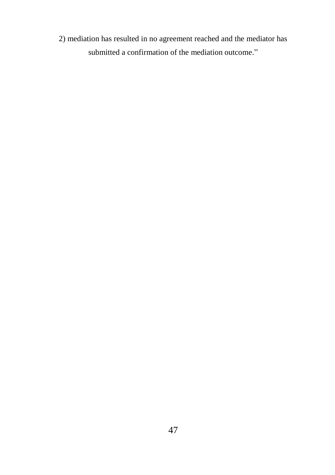2) mediation has resulted in no agreement reached and the mediator has submitted a confirmation of the mediation outcome."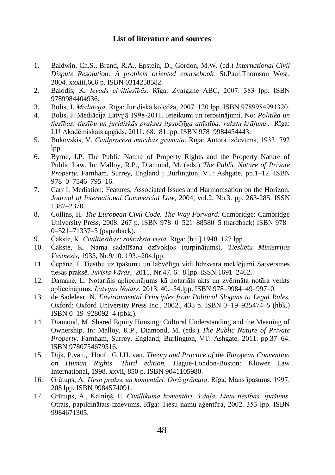#### **List of literature and sources**

- 1. Baldwin, Ch.S., Brand, R.A., Epstein, D., Gordon, M.W. (ed.) *International Civil Dispute Resolution: A problem oriented coursebook.* St.Paul:Thomson West, 2004. xxxiii,666 p. ISBN 0314258582.
- 2. Balodis, K**.** *Ievads civiltiesībās***.** Rīga: Zvaigzne ABC, 2007. 383 lpp. ISBN 9789984404936.
- 3. Bolis, J. *Mediācija.* Rīga: Juridiskā koledža, 2007. 120 lpp. ISBN 9789984991320.
- 4. Bolis, J. Mediācija Latvijā 1998-2011. Ieteikumi un ierosinājumi. No: *Politika un tiesības: tiesību un juridiskās prakses ilgspējīga attīstība: rakstu krājums*. Rīga: LU Akadēmiskais apgāds, 2011. 68.–81.lpp. ISBN 978–9984454443.
- 5. Bukovskis, V. *Civilprocesa mācības grāmata*. Rīga: Autora izdevums, 1933. 792 lpp.
- 6. Byrne, J.P. The Public Nature of Property Rights and the Property Nature of Public Law. In: Malloy, R.P., Diamond, M. (eds.) *The Public Nature of Private Property*. Farnham, Surrey, England ; Burlington, VT: Ashgate, pp.1–12. ISBN 978–0–7546–795–16.
- 7. Carr I. Mediation: Features, Associated Issues and Harmonisation on the Horizon. *Journal of International Commercial Law*, 2004, vol.2, No.3. pp. 263-285. ISSN 1387–2370.
- 8. Collins, H. *The European Civil Code. The Way Forward.* Cambridge: Cambridge University Press, 2008. 267 p. ISBN 978–0–521–88580–5 (hardback) ISBN 978– 0–521–71337–5 (paperback).
- 9. Čakste, K. *Civiltiesības: rokraksta vietā*. Rīga: [b.i.] 1940. 127 lpp.
- 10. Čakste, K. Nama sadalīšana dzīvokļos (turpinājums). *Tieslietu Ministrijas Vēstnesis*, 1933, Nr.9/10. 193.–204.lpp.
- 11. Čepāne, I. Tiesību uz īpašumu un labvēlīgu vidi līdzsvara meklējumi Satversmes tiesas praksē. *Jurista Vārds*, 2011, Nr.47. 6.–8.lpp. ISSN 1691–2462.
- 12. Damane, L. Notariāls apliecinājums kā notariāls akts un zvērināta notāra veikts apliecinājums. *Latvijas Notārs*, 2013. 40.–54.lpp. ISBN 978–9984–49–997–0.
- 13. de Sadeleer, N. *Environmental Principles from Political Slogans to Legal Rules.*  Oxford: Oxford University Press Inc., 2002., 433 p. ISBN 0–19–925474–5 (hbk.) ISBN 0–19–928092–4 (pbk.).
- 14. Diamond, M. Shared Equity Housing: Cultural Understanding and the Meaning of Ownership. In: Malloy, R.P., Diamond, M. (eds.) *The Public Nature of Private Property*. Farnham, Surrey, England; Burlington, VT: Ashgate, 2011. pp.37–64. ISBN 9780754679516.
- 15. Dijk, P.van., Hoof , G.J.H. van. *Theory and Practice of the European Convention on Human Rights*. *Third edition.* Hague-London-Boston: Kluwer Law International, 1998. xxvii, 850 p. ISBN 9041105980.
- 16. Grūtups, A. *Tiesu prakse un komentāri. Otrā grāmata*. Rīga: Mans īpašums, 1997. 208 lpp. ISBN 9984574091.
- 17. Grūtups, A., Kalniņš, E. *Civillikuma komentāri. 3.daļa. Lietu tiesības. Īpašums*. Otrais, papildinātais izdevums. Rīga: Tiesu namu aģentūra, 2002. 353 lpp. ISBN 9984671305.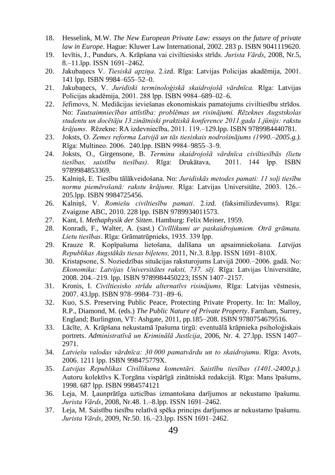- 18. Hesselink, M.W. *The New European Private Law: essays on the future of private law in Europe*. Hague: Kluwer Law International, 2002. 283 p. ISBN 9041119620.
- 19. Ievītis, J., Pundurs, A. Krāpšana vai civiltiesisks strīds. *Jurista Vārds*, 2008, Nr.5, 8.–11.lpp. ISSN 1691–2462.
- 20. Jakubaņecs V. *Tiesiskā apziņa*. 2.izd. Rīga: Latvijas Policijas akadēmija, 2001. 141 lpp. ISBN 9984–655–52–0.
- 21. Jakubaņecs, V. *Juridiski terminoloģiskā skaidrojošā vārdnīca.* Rīga: Latvijas Policijas akadēmija, 2001. 288 lpp. ISBN 9984–689–02–6.
- 22. Jefimovs, N. Mediācijas ieviešanas ekonomiskais pamatojums civiltiesību strīdos. No: *Tautsaimniecības attīstība: problēmas un risinājumi. Rēzeknes Augstskolas studentu un docētāju 13.zinātniski praktiskā konference 2011.gada 1.jūnijs: rakstu krājums*. Rēzekne: RA izdevniecība, 2011. 119.–129.lpp. ISBN 9789984440781.
- 23. Joksts, O. *Zemes reforma Latvijā un tās tiesiskais nodrošinājums (1990.–2005.g.).*  Rīga: Multineo. 2006. 240.lpp. ISBN 9984–9855–3–9.
- 24. Joksts, O., Girgensone, B. *Terminu skaidrojošā vārdnīca civiltiesībās (lietu tiesības, saistību tiesības)*. Rīga: Drukātava, 2011. 144 lpp. ISBN 9789984853369.
- 25. Kalniņš, E. Tiesību tālākveidošana. No: *Juridiskās metodes pamati: 11 soļi tiesību normu piemērošanā: rakstu krājums*. Rīga: Latvijas Universitāte, 2003. 126.– 205.lpp. ISBN 9984725456.
- 26. Kalniņš, V. *Romiešu civiltiesību pamati*. 2.izd. (faksimilizdevums). Rīga: Zvaigzne ABC, 2010. 228 lpp. ISBN 9789934011573.
- 27. Kant, I. *Methaphysik der Sitten*. Hamburg: Felix Meiner, 1959.
- 28. Konradi, F., Walter, A. (sast.) *Civīllikumi ar paskaidrojumiem. Otrā grāmata. Lietu tiesības*. Rīga: Grāmatrūpnieks, 1935. 339 lpp.
- 29. Krauze R. Kopīpašuma lietošana, dalīšana un apsaimniekošana. *Latvijas Republikas Augstākās tiesas biļetens,* 2011, Nr.3. 8.lpp. ISSN 1691–810X.
- 30. Kristapsone, S. Noziedzības situācijas raksturojums Latvijā 2000.–2006. gadā. No: *Ekonomika: Latvijas Universitātes raksti, 737. sēj.* Rīga: Latvijas Universitāte, 2008. 204.–219. lpp. ISBN 9789984450223; ISSN 1407–2157.
- 31. Kronis, I. *Civiltiesisko strīdu alternatīvs risinājums,* Rīga: Latvijas vēstnesis, 2007. 43.lpp. ISBN 978–9984–731–89–6.
- 32. Kuo, S.S. Preserving Public Peace, Protecting Private Property. In: In: Malloy, R.P., Diamond, M. (eds.) *The Public Nature of Private Property*. Farnham, Surrey, England; Burlington, VT: Ashgate, 2011, pp.185–208. ISBN 9780754679516.
- 33. Lācīte, A. Krāpšana nekustamā īpašuma tirgū: eventuālā krāpnieka psiholoģiskais portrets. *Administratīvā un Kriminālā Justīcija*, 2006, Nr. 4. 27.lpp. ISSN 1407– 2971.
- 34. *Latviešu valodas vārdnīca: 30 000 pamatvārdu un to skaidrojumu*. Rīga: Avots, 2006. 1211 lpp. ISBN 998475779X.
- 35. *Latvijas Republikas Civillikuma komentāri. Saistību tiesības (1401.-2400.p.).*  Autoru kolektīvs K.Torgāna vispārīgā zinātniskā redakcijā. Rīga: Mans īpašums, 1998. 687 lpp. ISBN 9984574121
- 36. Leja, M. Ļaunprātīga uzticības izmantošana darījumos ar nekustamo īpašumu. *Jurista Vārds*, 2008, Nr.48. 1.–8.lpp. ISSN 1691–2462.
- 37. Leja, M. Saistību tiesību relatīvā spēka princips darījumos ar nekustamo īpašumu. *Jurista Vārds*, 2009, Nr.50. 16.–23.lpp. ISSN 1691–2462.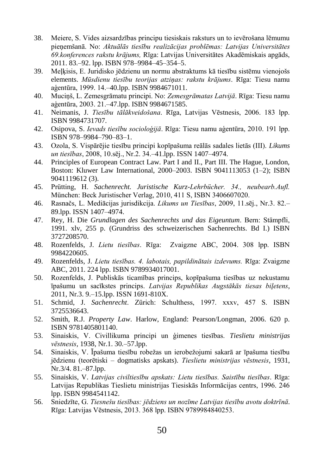- 38. Meiere, S. Vides aizsardzības principu tiesiskais raksturs un to ievērošana lēmumu pieņemšanā. No: *Aktuālās tiesību realizācijas problēmas: Latvijas Universitātes 69.konferences rakstu krājums,* Rīga: Latvijas Universitātes Akadēmiskais apgāds, 2011. 83.–92. lpp. ISBN 978–9984–45–354–5.
- 39. Meļķisis, E. Juridisko jēdzienu un normu abstraktums kā tiesību sistēmu vienojošs elements. *Mūsdienu tiesību teorijas atziņas: rakstu krājums*. Rīga: Tiesu namu aģentūra, 1999. 14.–40.lpp. ISBN 9984671011.
- 40. Muciņš, L. Zemesgrāmatu principi. No: *Zemesgrāmatas Latvijā*. Rīga: Tiesu namu aģentūra, 2003. 21.–47.lpp. ISBN 9984671585.
- 41. Neimanis, J. *Tiesību tālākveidošana*. Rīga, Latvijas Vēstnesis, 2006. 183 lpp. ISBN 9984731707.
- 42. Osipova, S. *Ievads tiesību socioloģijā*. Rīga: Tiesu namu aģentūra, 2010. 191 lpp. ISBN 978–9984–790–83–1.
- 43. Ozola, S. Vispārējie tiesību principi kopīpašuma reālās sadales lietās (III). *Likums un tiesības*, 2008, 10.sēj., Nr.2. 34.–41.lpp. ISSN 1407–4974.
- 44. Principles of European Contract Law. Part I and II., Part III. The Hague, London, Boston: Kluwer Law International, 2000–2003. ISBN 9041113053 (1–2); ISBN 9041119612 (3).
- 45. Prütting, H. *Sachenrecht. Juristische Kurz-Lehrbücher. 34., neubearb.Aufl.*  München: Beck Juristischer Verlag, 2010, 411 S, ISBN 3406607020.
- 46. Rasnačs, L. Mediācijas jurisdikcija. *Likums un Tiesības*, 2009, 11.sēj., Nr.3. 82.– 89.lpp. ISSN 1407–4974.
- 47. Rey, H. Die *Grundlagen des Sachenrechts und das Eigeuntum*. Bern: Stämpfli, 1991. xlv, 255 p. (Grundriss des schweizerischen Sachenrechts. Bd I.) ISBN 3727208570.
- 48. Rozenfelds, J. *Lietu tiesības*. Rīga: Zvaigzne ABC, 2004. 308 lpp. ISBN 9984220605.
- 49. Rozenfelds, J. *Lietu tiesības. 4. labotais, papildinātais izdevums.* Rīga: Zvaigzne ABC, 2011. 224 lpp. ISBN 9789934017001.
- 50. Rozenfelds, J. Publiskās ticamības princips, kopīpašuma tiesības uz nekustamu īpašumu un sacīkstes princips. *Latvijas Republikas Augstākās tiesas biļetens*, 2011, Nr.3. 9.–15.lpp. ISSN 1691-810X.
- 51. Schmid, J. *Sachenrecht*. Zürich: Schulthess, 1997. xxxv, 457 S. ISBN 3725536643.
- 52. Smith, R.J. *Property Law*. Harlow, England: Pearson/Longman, 2006. 620 p. ISBN 9781405801140.
- 53. Sinaiskis, V. Civillikuma principi un ģimenes tiesības. *Tieslietu ministrijas vēstnesis*, 1938, Nr.1. 30.–57.lpp.
- 54. Sinaiskis, V. Īpašuma tiesību robežas un ierobežojumi sakarā ar īpašuma tiesību jēdzienu (teorētiski – dogmatisks apskats). *Tieslietu ministrijas vēstnesis*, 1931, Nr.3/4. 81.–87.lpp.
- 55. Sinaiskis, V. *Latvijas civiltiesību apskats: Lietu tiesības. Saistību tiesības*. Rīga: Latvijas Republikas Tieslietu ministrijas Tiesiskās Informācijas centrs, 1996. 246 lpp. ISBN 9984541142.
- 56. Sniedzīte, G. *Tiesnešu tiesības: jēdziens un nozīme Latvijas tiesību avotu doktrīnā*. Rīga: Latvijas Vēstnesis, 2013. 368 lpp. ISBN 9789984840253.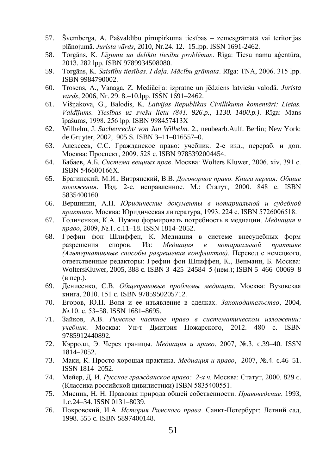- 57. Švemberga, A. Pašvaldību pirmpirkuma tiesības zemesgrāmatā vai teritorijas plānojumā. *Jurista vārds*, 2010, Nr.24. 12.–15.lpp. ISSN 1691-2462.
- 58. Torgāns, K. *Līgumu un deliktu tiesību problēmas*. Rīga: Tiesu namu aģentūra, 2013. 282 lpp. ISBN 9789934508080.
- 59. Torgāns, K. *Saistību tiesības. I daļa. Mācību grāmata*. Rīga: TNA, 2006. 315 lpp. ISBN 9984790002.
- 60. Trosens, A., Vanaga, Z. Mediācija: izpratne un jēdziens latviešu valodā. *Jurista vārds*, 2006, Nr. 29. 8.–10.lpp. ISSN 1691–2462.
- 61. Višņakova, G., Balodis, K. *Latvijas Republikas Civillikuma komentāri: Lietas. Valdījums. Tiesības uz svešu lietu (841.*–*926.p., 1130.*–*1400.p.)*. Rīga: Mans īpašums, 1998. 256 lpp. ISBN 998457413X
- 62. Wilhelm, J. *Sachenrecht/ von Jan Wilhelm.* 2., neubearb.Aulf. Berlin; New York: de Gruyter, 2002, 905 S. ISBN 3–11–016557–0.
- 63. Алексеев, С.С. Гражданское право: учебник. 2-е изд., перераб. и доп. Москва: Проспект, 2009. 528 c. ISBN 9785392004454.
- 64. Бабаев, А.Б. *Система вещных прав*. Москва: Wolters Kluwer, 2006. xiv, 391 с. ISBN 546600166Х.
- 65. Брагинский, М.И., Витрянский, В.В. *Договорное право. Книга первая: Общие положения*. Изд. 2-е, исправленное. М.: Статут, 2000. 848 c. ISBN 5835400160.
- 66. Вершинин, А.П. *Юридические документы в нотариальной и судебной практике*. Москва: Юридическая литература, 1993. 224 c. ISBN 5726006518.
- 67. Голиченков, К.А. Нужно формировать потребность в медиации. *Медиация и право*, 2009, №.1. c.11–18. ISSN 1814–2052.
- 68. Грефин фон Шлиффен, К. Медиация в системе внесудебных форм разрешения споров. Из: *Медиация в нотариальной практике (Альтернативные способы разрешения конфликтов).* Перевод с немецкого, ответственные редакторы: Грефин фон Шлиффен, К., Венманн, Б. Москва: WoltersKluwer, 2005, 388 c. ISBN 3–425–24584–5 (нем.); ISBN 5–466–00069–8 (в пер.).
- 69. Денисенко, С.В. *Общеправовые проблемы медиации*. Москва: Вузовская книга, 2010. 151 c. ISBN 9785950205712.
- 70. Егоров, Ю.П. Воля и ее изъявление в сделках. *Законодательство*, 2004, №.10. c. 53–58. ISSN 1681–8695.
- 71. Зайков, А.В. *Римское частное право в систематическом изложении: учебник*. Москва: Ун-т Дмитрия Пожарского, 2012. 480 с. ISBN 9785912440892.
- 72. Кэрролл, Э. Через границы. *Медиация и право*, 2007, №.3. c.39–40. ISSN 1814–2052.
- 73. Маки, К. Просто хорошая практика. *Медиация и право*, 2007, №.4. c.46–51. ISSN 1814–2052.
- 74. Мейер, Д. И. *Русское гражданское право: 2-х ч.* Москва: Статут, 2000. 829 c. (Классика российской цивилистики) ISBN 5835400551.
- 75. Мисник, H. H. Правовая природа обшей собственности. *Правоведение*. 1993, 1.c.24–34. ISSN 0131–8039.
- 76. Покровский, И.А. *История Римского права*. Санкт-Петербург: Летний сад, 1998. 555 c. ISBN 5897400148.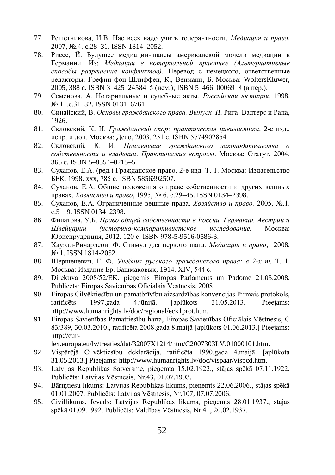- 77. Решетникова, И.В. Нас всех надо учить толерантности. *Медиация и право*, 2007, №.4. c.28–31. ISSN 1814–2052.
- 78. Риссе, Й. Будущее медиации-шансы американской модели медиации в Германии. Из: *Медиация в нотариальной практике (Альтернативные способы разрешения конфликтов).* Перевод с немецкого, ответственные редакторы: Грефин фон Шлиффен, К., Венманн, Б. Москва: WoltersKluwer, 2005, 388 c. ISBN 3–425–24584–5 (нем.); ISBN 5–466–00069–8 (в пер.).
- 79. Семенова, А. Нотариальные и судебные акты. *Российская юстиция*, 1998, №.11.c.31–32. ISSN 0131–6761.
- 80. Синайский, В. *Основы гражданского права. Выпуск II*. Рига: Валтерс и Рапа, 1926.
- 81. Скловский, K. И. *Гражданский спор: практическая цивилистика*. 2-е изд., испр. и доп. Москва: Дело, 2003. 251 c. ISBN 5774902854.
- 82. Скловский, K. И. *Применение гражданского законодательства о собственности и владении*. *Практические вопросы*. Москва: Статут, 2004. 365 c. ISBN 5–8354–0215–5.
- 83. Суханов, Е.А. (ред.) Гражданское право. 2-е изд. Т. 1. Москва: Издательство БЕК, 1998. xxx, 785 с. ISBN 5856392507.
- 84. Суханов, Е.А. Общие положения о праве собственности и других вещных правах. *Хозяйство и право*, 1995, №.6. c.29–45. ISSN 0134–2398.
- 85. Суханов, Е.А. Ограниченные вещные права. *Хозяйство и право,* 2005, №.1. c.5–19. ISSN 0134–2398.
- 86. Филатова, У.Б. *Право общей собственности в России, Германии, Австрии и Швейцарии (историко-компаративистское исследование.* Москва: Юриспруденция, 2012. 120 c. ISBN 978-5-9516-0586-3.
- 87. Хауэлл-Ричардсон, Ф. Стимул для первого шага. *Медиация и право*, 2008, №.1. ISSN 1814-2052.
- 88. Шершеневич, Г. Ф. *Учебник русского гражданского права: в 2-х т.* Т. 1. Москва: Издание Бр. Башмаковых, 1914. XIV, 544 с.
- 89. Direktīva 2008/52/EK, pieņēmis Eiropas Parlaments un Padome 21.05.2008. Publicēts: Eiropas Savienības Oficiālais Vēstnesis, 2008.
- 90. Eiropas Cilvēktiesību un pamatbrīvību aizsardzības konvencijas Pirmais protokols, ratificēts 1997.gada 4.jūnijā. [aplūkots 31.05.2013.] Pieejams: [http://www.humanrights.lv/doc/regional/eck1prot.htm.](http://www.humanrights.lv/doc/regional/eck1prot.htm)
- 91. Eiropas Savienības Pamattiesību harta, Eiropas Savienības Oficiālais Vēstnesis, C 83/389, 30.03.2010., ratificēta 2008.gada 8.maijā [aplūkots 01.06.2013.] Pieejams: [http://eur-](http://eur-lex.europa.eu/lv/treaties/dat/32007X1214/htm/C2007303LV.01000101.htm)

[lex.europa.eu/lv/treaties/dat/32007X1214/htm/C2007303LV.01000101.htm.](http://eur-lex.europa.eu/lv/treaties/dat/32007X1214/htm/C2007303LV.01000101.htm)

- 92. Vispārējā Cilvēktiesību deklarācija, ratificēta 1990.gada 4.maijā. [aplūkota 31.05.2013.] Pieejams: [http://www.humanrights.lv/doc/vispaar/vispcd.htm.](http://www.humanrights.lv/doc/vispaar/vispcd.htm)
- 93. Latvijas Republikas Satversme, pieņemta 15.02.1922., stājas spēkā 07.11.1922. Publicēts: Latvijas Vēstnesis, Nr.43, 01.07.1993.
- 94. Bāriņtiesu likums: Latvijas Republikas likums, pieņemts 22.06.2006., stājas spēkā 01.01.2007. Publicēts: Latvijas [Vēstnesis,](https://www.vestnesis.lv/?menu=doc&id=139369) Nr.107, 07.07.2006.
- 95. Civillikums. Ievads: Latvijas Republikas likums, pieņemts 28.01.1937., stājas spēkā 01.09.1992. Publicēts: Valdības Vēstnesis, Nr.41, 20.02.1937.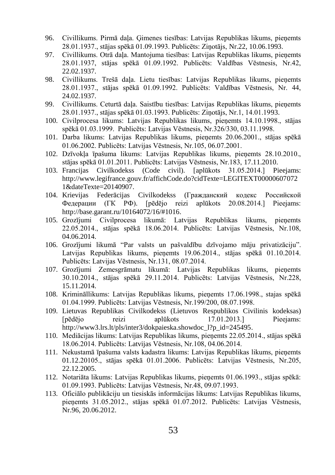- 96. Civillikums. Pirmā daļa. Ģimenes tiesības: Latvijas Republikas likums, pieņemts 28.01.1937., stājas spēkā 01.09.1993. Publicēts: Ziņotājs, Nr.22, 10.06.1993.
- 97. Civillikums. Otrā daļa. Mantojuma tiesības: Latvijas Republikas likums, pieņemts 28.01.1937, stājas spēkā 01.09.1992. Publicēts: Valdības Vēstnesis, Nr.42, 22.02.1937.
- 98. Civillikums. Trešā daļa. Lietu tiesības: Latvijas Republikas likums, pieņemts 28.01.1937., stājas spēkā 01.09.1992. Publicēts: Valdības Vēstnesis, Nr. 44, 24.02.1937.
- 99. Civillikums. Ceturtā daļa. Saistību tiesības: Latvijas Republikas likums, pieņemts 28.01.1937., stājas spēkā 01.03.1993. Publicēts: Ziņotājs, Nr.1, 14.01.1993.
- 100. Civilprocesa likums: Latvijas Republikas likums, pieņemts 14.10.1998., stājas spēkā 01.03.1999. Publicēts: Latvijas Vēstnesis, Nr.326/330, 03.11.1998.
- 101. Darba likums: Latvijas Republikas likums, pieņemts 20.06.2001., stājas spēkā 01.06.2002. Publicēts: Latvijas Vēstnesis, Nr.105, 06.07.2001.
- 102. Dzīvokļa īpašuma likums: Latvijas Republikas likums, pieņemts 28.10.2010., stājas spēkā 01.01.2011. Publicēts: Latvijas Vēstnesis, Nr.183[, 17.11.2010.](https://www.vestnesis.lv/?menu=doc&id=221382)
- 103. Francijas Civilkodekss (Code civil). [aplūkots 31.05.2014.] Pieejams: [http://www.legifrance.gouv.fr/affichCode.do?cidTexte=LEGITEXT00000607072](http://www.legifrance.gouv.fr/affichCode.do?cidTexte=LEGITEXT000006070721&dateTexte=20140907) [1&dateTexte=20140907.](http://www.legifrance.gouv.fr/affichCode.do?cidTexte=LEGITEXT000006070721&dateTexte=20140907)
- 104. Krievijas Federācijas Civilkodekss [\(Гражданский кодекс Российской](http://base.garant.ru/10164072/)  [Федерации \(ГК РФ\).](http://base.garant.ru/10164072/) [pēdējo reizi aplūkots 20.08.2014.] Pieejams: [http://base.garant.ru/10164072/16/#1016.](http://base.garant.ru/10164072/16/#1016)
- 105. Grozījumi Civilprocesa likumā: Latvijas Republikas likums, pieņemts 22.05.2014., stājas spēkā 18.06.2014. Publicēts: Latvijas Vēstnesis, Nr.108, 04.06.2014.
- 106. Grozījumi likumā "Par valsts un pašvaldību dzīvojamo māju privatizāciju". Latvijas Republikas likums, pieņemts 19.06.2014., stājas spēkā 01.10.2014. Publicēts: Latvijas Vēstnesis, Nr.131, 08.07.2014.
- 107. Grozījumi Zemesgrāmatu likumā: Latvijas Republikas likums, pieņemts 30.10.2014., stājas spēkā 29.11.2014. Publicēts: Latvijas Vēstnesis, Nr.228, 15.11.2014.
- 108. Krimināllikums: Latvijas Republikas likums, pieņemts 17.06.1998., stajas spēkā 01.04.1999. Publicēts: Latvijas Vēstnesis, Nr.199/200, 08.07.1998.
- 109. Lietuvas Republikas Civilkodekss (Lietuvos Respublikos Civilinis kodeksas) [pēdējo reizi aplūkots 17.01.2013.] Pieejams: [http://www3.lrs.lt/pls/inter3/dokpaieska.showdoc\\_l?p\\_id=245495.](http://www3.lrs.lt/pls/inter3/dokpaieska.showdoc_l?p_id=245495)
- 110. Mediācijas likums: Latvijas Republikas likums, pieņemts 22.05.2014., stājas spēkā 18.06.2014. Publicēts[: Latvijas](https://www.vestnesis.lv/?menu=doc&id=266615) Vēstnesis, Nr.108, 04.06.2014.
- 111. Nekustamā īpašuma valsts kadastra likums: Latvijas Republikas likums, pieņemts 01.12.20105., stājas spēkā 01.01.2006. Publicēts: Latvijas Vēstnesis, Nr.205, 22.12.2005.
- 112. Notariāta likums: Latvijas Republikas likums, pieņemts 01.06.1993., stājas spēkā: 01.09.1993. Publicēts: Latvijas Vēstnesis, Nr.48, 09.07.1993.
- 113. Oficiālo publikāciju un tiesiskās informācijas likums: Latvijas Republikas likums, pieņemts 31.05.2012., stājas spēkā 01.07.2012. Publicēts: Latvijas Vēstnesis, Nr.96, 20.06.2012.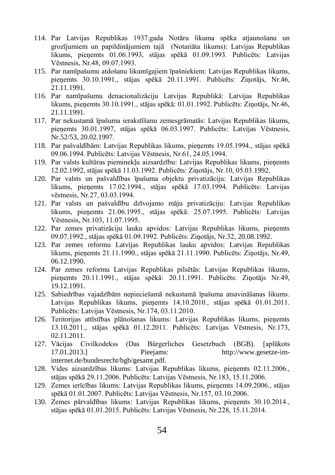- 114. Par Latvijas Republikas 1937.gada Notāru likuma spēka atjaunošanu un grozījumiem un papildinājumiem tajā (Notariāta likums): Latvijas Republikas likums, pieņemts 01.06.1993, stājas spēkā 01.09.1993. Publicēts: Latvijas Vēstnesis, Nr.48, 09.07.1993.
- 115. Par namīpašumu atdošanu likumīgajiem īpašniekiem: Latvijas Republikas likums, pieņemts 30.10.1991., stājas spēkā 20.11.1991. Publicēts: Ziņotājs, Nr.46, 21.11.1991.
- 116. Par namīpašumu denacionalizāciju Latvijas Republikā: Latvijas Republikas likums, pieņemts 30.10.1991., stājas spēkā: 01.01.1992. Publicēts: Ziņotājs, Nr.46, 21.11.1991.
- 117. Par nekustamā īpašuma ierakstīšanu zemesgrāmatās: Latvijas Republikas likums, pieņemts 30.01.1997, stājas spēkā 06.03.1997. Publicēts: [Latvijas](https://www.vestnesis.lv/?menu=doc&id=42284) Vēstnesis, Nr.52/53, 20.02.1997.
- 118. Par pašvaldībām: Latvijas Republikas likums, pieņemts 19.05.1994., stājas spēkā 09.06.1994. Publicēts: Latvijas Vēstnesis, Nr.61, 24.05.1994.
- 119. Par valsts kultūras pieminekļu aizsardzību: Latvijas Republikas likums, pieņemts 12.02.1992, stājas spēkā 11.03.1992. Publicēts: Ziņotājs, Nr.10, 05.03.1992.
- 120. Par valsts un pašvaldības īpašuma objektu privatizāciju: Latvijas Republikas likums, pieņemts 17.02.1994., stājas spēkā 17.03.1994. Publicēts: Latvijas vēstnesis, Nr.27, 03.03.1994.
- 121. Par valsts un pašvaldību dzīvojamo māju privatizāciju: Latvijas Republikas likums, pieņemts 21.06.1995., stājas spēkā: 25.07.1995. Publicēts: Latvijas Vēstnesis, Nr.103, 11.07.1995.
- 122. Par zemes privatizāciju lauku apvidos: Latvijas Republikas likums, pieņemts 09.07.1992., stājas spēkā 01.09.1992. Publicēts: Ziņotājs, Nr.32, 20.08.1992.
- 123. Par zemes reformu Latvijas Republikas lauku apvidos: Latvijas Republikas likums, pieņemts 21.11.1990., stājas spēkā 21.11.1990. Publicēts: Ziņotājs, Nr.49, 06.12.1990.
- 124. Par zemes reformu Latvijas Republikas pilsētās: Latvijas Republikas likums, pieņemts 20.11.1991., stājas spēkā: 20.11.1991. Publicēts: Ziņotājs Nr.49, 19.12.1991.
- 125. Sabiedrības vajadzībām nepieciešamā nekustamā īpašuma atsavināšanas likums. Latvijas Republikas likums, pieņemts 14.10.2010., stājas spēkā 01.01.2011. Publicēts: Latvijas Vēstnesis, Nr.174, 03.11.2010.
- 126. Teritorijas attīstības plānošanas likums: Latvijas Republikas likums, pieņemts 13.10.2011., stājas spēkā 01.12.2011. Publicēts: Latvijas Vēstnesis, Nr.173, 02.11.2011.
- 127. Vācijas Civilkodekss (Das Bürgerliches Gesetzbuch (BGB). [aplūkots 17.01.2013.] Pieejams: [http://www.gesetze-im](http://www.gesetze-im-internet.de/bundesrecht/bgb/gesamt.pdf)[internet.de/bundesrecht/bgb/gesamt.pdf.](http://www.gesetze-im-internet.de/bundesrecht/bgb/gesamt.pdf)
- 128. Vides aizsardzības likums: Latvijas Republikas likums, pieņemts 02.11.2006., stājas spēkā 29.11.2006. Publicēts: Latvijas Vēstnesis, Nr.183, 15.11.2006.
- 129. Zemes ierīcības likums: Latvijas Republikas likums, pieņemts 14.09.2006., stājas spēkā 01.01.2007. Publicēts: Latvijas Vēstnesis, Nr.157, 03.10.2006.
- 130. Zemes pārvaldības likums: Latvijas Republikas likums, pieņemts 30.10.2014., stājas spēkā 01.01.2015. Publicēts: Latvijas Vēstnesis, Nr.228, 15.11.2014.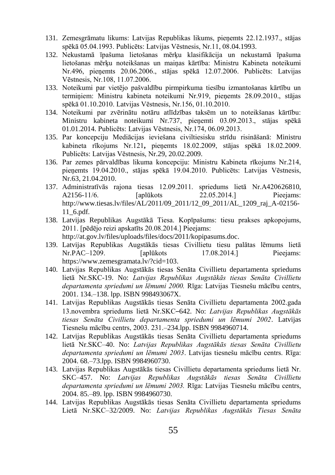- 131. Zemesgrāmatu likums: Latvijas Republikas likums, pieņemts 22.12.1937., stājas spēkā 05.04.1993. Publicēts: Latvijas Vēstnesis, Nr.11, 08.04.1993.
- 132. Nekustamā īpašuma lietošanas mērķu klasifikācija un nekustamā īpašuma lietošanas mērķu noteikšanas un maiņas kārtība: Ministru Kabineta noteikumi Nr.496, pieņemts 20.06.2006., stājas spēkā 12.07.2006. [Publicēts: Latvijas](https://www.vestnesis.lv/?menu=doc&id=139503)  [Vēstnesis, Nr.108, 11.07.2006.](https://www.vestnesis.lv/?menu=doc&id=139503)
- 133. Noteikumi par vietējo pašvaldību pirmpirkuma tiesību izmantošanas kārtību un terminiem: Ministru kabineta noteikumi Nr.919, pieņemts 28.09.2010., stājas spēkā 01.10.2010. Latvijas Vēstnesis, Nr.156, 01.10.2010.
- 134. Noteikumi par zvērinātu notāru atlīdzības taksēm un to noteikšanas kārtību: Ministru kabineta noteikumi Nr.737, pieņemti 03.09.2013., stājas spēkā 01.01.2014. [Publicēts:](https://www.vestnesis.lv/?menu=doc&id=259604) Latvijas Vēstnesis, Nr.174, 06.09.2013.
- 135. Par koncepciju Mediācijas ieviešana civiltiesisku strīdu risināšanā: Ministru kabineta rīkojums Nr.121**,** pieņemts 18.02.2009, stājas spēkā 18.02.2009. Publicēts: Latvijas Vēstnesis, Nr.29, 20.02.2009.
- 136. Par zemes pārvaldības likuma koncepciju: Ministru Kabineta rīkojums Nr.214, pieņemts 19.04.2010., stājas spēkā 19.04.2010. Publicēts: Latvijas Vēstnesis, Nr.63, 21.04.2010.
- 137. Administratīvās rajona tiesas 12.09.2011. spriedums lietā Nr.A420626810, A2156-11/6. [aplūkots 22.05.2014.] Pieejams: [http://www.tiesas.lv/files/AL/2011/09\\_2011/12\\_09\\_2011/AL\\_1209\\_raj\\_A-02156-](http://www.tiesas.lv/files/AL/2011/09_2011/12_09_2011/AL_1209_raj_A-02156-11_6.pdf) [11\\_6.pdf.](http://www.tiesas.lv/files/AL/2011/09_2011/12_09_2011/AL_1209_raj_A-02156-11_6.pdf)
- 138. Latvijas Republikas Augstākā Tiesa. Kopīpašums: tiesu prakses apkopojums, 2011. [pēdējo reizi apskatīts 20.08.2014.] Pieejams: [http://at.gov.lv/files/uploads/files/docs/2011/kopipasums.doc.](http://at.gov.lv/files/uploads/files/docs/2011/kopipasums.doc)
- 139. Latvijas Republikas Augstākās tiesas Civillietu tiesu palātas lēmums lietā Nr.PAC–1209. [aplūkots 17.08.2014.] Pieejams: [https://www.zemesgramata.lv/?cid=103.](https://www.zemesgramata.lv/?cid=103)
- 140. Latvijas Republikas Augstākās tiesas Senāta Civillietu departamenta spriedums lietā Nr.SKC-19. No: *Latvijas Republikas Augstākās tiesas Senāta Civillietu departamenta spriedumi un lēmumi 2000.* Rīga: Latvijas Tiesnešu mācību centrs, 2001. 134.–138. lpp. ISBN 998493067X.
- 141. Latvijas Republikas Augstākās tiesas Senāta Civillietu departamenta 2002.gada 13.novembra spriedums lietā Nr.SKC–642. No: *Latvijas Republikas Augstākās tiesas Senāta Civillietu departamenta spriedumi un lēmumi 2002*. Latvijas Tiesnešu mācību centrs, 2003. 231.–234.lpp. ISBN 9984960714.
- 142. Latvijas Republikas Augstākās tiesas Senāta Civillietu departamenta spriedums lietā Nr.SKC–40. No: *Latvijas Republikas Augstākās tiesas Senāta Civillietu departamenta spriedumi un lēmumi 2003*. Latvijas tiesnešu mācību centrs. Rīga: 2004. 68.–73.lpp. ISBN 9984960730.
- 143. Latvijas Republikas Augstākās tiesas Civillietu departamenta spriedums lietā Nr. SKC–457. No: *Latvijas Republikas Augstākās tiesas Senāta Civillietu departamenta spriedumi un lēmumi 2003.* Rīga: Latvijas Tiesnešu mācību centrs, 2004. 85.–89. lpp. ISBN 9984960730.
- 144. Latvijas Republikas Augstākās tiesas Senāta Civillietu departamenta spriedums Lietā Nr.SKC–32/2009. No: *Latvijas Republikas Augstākās Tiesas Senāta*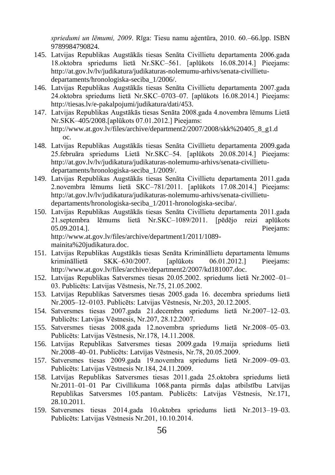*spriedumi un lēmumi, 2009*. Rīga: Tiesu namu aģentūra, 2010. 60.–66.lpp. ISBN 9789984790824.

- 145. Latvijas Republikas Augstākās tiesas Senāta Civillietu departamenta 2006.gada 18.oktobra spriedums lietā Nr.SKC–561. [aplūkots 16.08.2014.] Pieejams: [http://at.gov.lv/lv/judikatura/judikaturas-nolemumu-arhivs/senata-civillietu](http://at.gov.lv/lv/judikatura/judikaturas-nolemumu-arhivs/senata-civillietu-departaments/hronologiska-seciba_1/2006/)[departaments/hronologiska-seciba\\_1/2006/.](http://at.gov.lv/lv/judikatura/judikaturas-nolemumu-arhivs/senata-civillietu-departaments/hronologiska-seciba_1/2006/)
- 146. Latvijas Republikas Augstākās tiesas Senāta Civillietu departamenta 2007.gada 24.oktobra spriedums lietā Nr.SKC–0703–07. [aplūkots 16.08.2014.] Pieejams: [http://tiesas.lv/e-pakalpojumi/judikatura/dati/453.](http://tiesas.lv/e-pakalpojumi/judikatura/dati/453)
- 147. Latvijas Republikas Augstākās tiesas Senāta 2008.gada 4.novembra lēmums Lietā Nr.SKK–405/2008.[aplūkots 07.01.2012.] Pieejams: [http://www.at.gov.lv/files/archive/department2/2007/2008/skk%20405\\_8\\_g1.d](http://www.at.gov.lv/files/archive/department2/2007/2008/skk%20405_8_g1.d%09oc) [oc.](http://www.at.gov.lv/files/archive/department2/2007/2008/skk%20405_8_g1.d%09oc)
- 148. Latvijas Republikas Augstākās tiesas Senāta Civillietu departamenta 2009.gada 25.februāra spriedums Lietā Nr.SKC–54. [aplūkots 20.08.2014.] Pieejams: [http://at.gov.lv/lv/judikatura/judikaturas-nolemumu-arhivs/senata-civillietu](http://at.gov.lv/lv/judikatura/judikaturas-nolemumu-arhivs/senata-civillietu-departaments/hronologiska-seciba_1/2009/)[departaments/hronologiska-seciba\\_1/2009/.](http://at.gov.lv/lv/judikatura/judikaturas-nolemumu-arhivs/senata-civillietu-departaments/hronologiska-seciba_1/2009/)
- 149. Latvijas Republikas Augstākās tiesas Senāta Civillietu departamenta 2011.gada 2.novembra lēmums lietā SKC–781/2011. [aplūkots 17.08.2014.] Pieejams: [http://at.gov.lv/lv/judikatura/judikaturas-nolemumu-arhivs/senata-civillietu](http://at.gov.lv/lv/judikatura/judikaturas-nolemumu-arhivs/senata-civillietu-departaments/hronologiska-seciba_1/2011-hronologiska-seciba/)[departaments/hronologiska-seciba\\_1/2011-hronologiska-seciba/.](http://at.gov.lv/lv/judikatura/judikaturas-nolemumu-arhivs/senata-civillietu-departaments/hronologiska-seciba_1/2011-hronologiska-seciba/)
- 150. Latvijas Republikas Augstākās tiesas Senāta Civillietu departamenta 2011.gada 21.septembra lēmums lietā Nr.SKC–1089/2011. [pēdējo reizi aplūkots 05.09.2014.]. Pieejams: [http://www.at.gov.lv/files/archive/department1/2011/1089](http://www.at.gov.lv/files/archive/department1/2011/1089-mainita%20judikatura.doc) [mainita%20judikatura.doc.](http://www.at.gov.lv/files/archive/department1/2011/1089-mainita%20judikatura.doc)
- 151. Latvijas Republikas Augstākās tiesas Senāta Krimināllietu departamenta lēmums krimināllietā SKK–630/2007. [aplūkots 06.01.2012.] Pieejams: [http://www.at.gov.lv/files/archive/department2/2007/kd181007.doc.](http://www.at.gov.lv/files/archive/department2/2007/kd181007.doc)
- 152. Latvijas Republikas Satversmes tiesas 20.05.2002. spriedums lietā Nr.2002–01– 03. Publicēts: Latvijas Vēstnesis, Nr.75, 21.05.2002.
- 153. Latvijas Republikas Satversmes tiesas 2005.gada 16. decembra spriedums lietā Nr.2005–12–0103. Publicēts: Latvijas Vēstnesis, Nr.203, 20.12.2005.
- 154. Satversmes tiesas 2007.gada 21.decembra spriedums lietā Nr.2007–12–03. Publicēts: Latvijas Vēstnesis, Nr.207, 28.12.2007.
- 155. Satversmes tiesas 2008.gada 12.novembra spriedums lietā Nr.2008–05–03. Publicēts: Latvijas Vēstnesis, Nr.178, 14.11.2008.
- 156. Latvijas Republikas Satversmes tiesas 2009.gada 19.maija spriedums lietā Nr.2008–40–01. Publicēts: [Latvijas](https://www.vestnesis.lv/?menu=doc&id=192098) Vēstnesis, Nr.78, 20.05.2009.
- 157. Satversmes tiesas 2009.gada 19.novembra spriedums lietā Nr.2009–09–03. Publicēts: Latvijas Vēstnesis Nr.184, 24.11.2009.
- 158. Latvijas Republikas Satversmes tiesas 2011.gada 25.oktobra spriedums lietā Nr.2011–01–01 Par [Civillikuma](http://www.likumi.lv/doc.php?id=225418) 1068.panta pirmās daļas atbilstību [Latvijas](http://www.likumi.lv/doc.php?id=57980)  [Republikas Satversmes](http://www.likumi.lv/doc.php?id=57980) 105.pantam. Publicēts: Latvijas Vēstnesis, Nr.171, 28.10.2011.
- 159. Satversmes tiesas 2014.gada 10.oktobra spriedums lietā Nr.2013–19–03. Publicēts: Latvijas Vēstnesis Nr.201, 10.10.2014.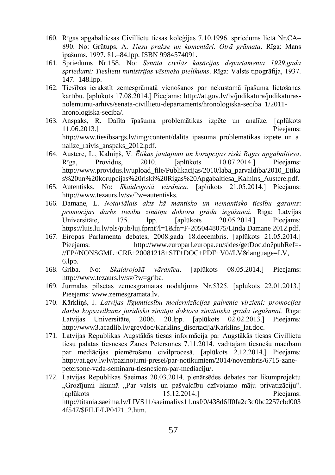- 160. Rīgas apgabaltiesas Civillietu tiesas kolēģijas 7.10.1996. spriedums lietā Nr.CA– 890. No: Grūtups, A. *Tiesu prakse un komentāri*. *Otrā grāmata*. Rīga: Mans īpašums, 1997. 81.–84.lpp. ISBN 9984574091.
- 161. Spriedums Nr.158. No: *Senāta civilās kasācijas departamenta 1929.gada spriedumi: Tieslietu ministrijas vēstneša pielikums*. Rīga: Valsts tipogrāfija, 1937. 147.–148.lpp.
- 162. [Tiesības ierakstīt zemesgrāmatā vienošanos par nekustamā īpašuma lietošanas](http://at.gov.lv/files/uploads/files/archive/department1/2011/781-skc-2011+salenieks.doc)  [kārtību.](http://at.gov.lv/files/uploads/files/archive/department1/2011/781-skc-2011+salenieks.doc) [aplūkots 17.08.2014.] Pieejams: [http://at.gov.lv/lv/judikatura/judikaturas](http://at.gov.lv/lv/judikatura/judikaturas-nolemumu-arhivs/senata-civillietu-departaments/hronologiska-seciba_1/2011-hronologiska-seciba/)[nolemumu-arhivs/senata-civillietu-departaments/hronologiska-seciba\\_1/2011](http://at.gov.lv/lv/judikatura/judikaturas-nolemumu-arhivs/senata-civillietu-departaments/hronologiska-seciba_1/2011-hronologiska-seciba/) [hronologiska-seciba/.](http://at.gov.lv/lv/judikatura/judikaturas-nolemumu-arhivs/senata-civillietu-departaments/hronologiska-seciba_1/2011-hronologiska-seciba/)
- 163. Anspaks, R. Dalīta īpašuma problemātikas izpēte un analīze. [aplūkots 11.06.2013.] Pieejams: [http://www.tiesibsargs.lv/img/content/dalita\\_ipasuma\\_problematikas\\_izpete\\_un\\_a](http://www.tiesibsargs.lv/img/content/dalita_ipasuma_problematikas_izpete_un_analize_raivis_anspaks_2012.pdf) nalize raivis anspaks 2012.pdf.
- 164. Austere, L., Kalniņš, V. *Ētikas jautājumi un korupcijas riski Rīgas apgabaltiesā*. Rīga, Providus, 2010. [aplūkots 10.07.2014.] Pieejams: [http://www.providus.lv/upload\\_file/Publikacijas/2010/laba\\_parvaldiba/2010\\_Etika](http://www.providus.lv/upload_file/Publikacijas/2010/laba_parvaldiba/2010_Etikas%20un%20korupcijas%20riski%20Rigas%20Apgabaltiesa_Kalnins_Austere.pdf) [s%20un%20korupcijas%20riski%20Rigas%20Apgabaltiesa\\_Kalnins\\_Austere.pdf.](http://www.providus.lv/upload_file/Publikacijas/2010/laba_parvaldiba/2010_Etikas%20un%20korupcijas%20riski%20Rigas%20Apgabaltiesa_Kalnins_Austere.pdf)
- 165. Autentisks. No: *Skaidrojošā vārdnīca*. [aplūkots 21.05.2014.] Pieejams: [http://www.tezaurs.lv/sv/?w=autentisks.](http://www.tezaurs.lv/sv/?w=autentisks)
- 166. Damane, L. *Notariālais akts kā mantisko un nemantisko tiesību garants*: *promocijas darbs tiesību zinātņu doktora grāda iegūšanai.* Rīga: Latvijas Universitāte, 175. lpp. [aplūkots 20.05.2014.] Pieejams: [https://luis.lu.lv/pls/pub/luj.fprnt?l=1&fn=F-2050448075/Linda Damane 2012.pdf.](https://luis.lu.lv/pls/pub/luj.fprnt?l=1&fn=F-2050448075/Linda%20Damane%202012.pdf)
- 167. Eiropas Parlamenta debates, 2008.gada 18.decembris. [aplūkots 21.05.2014.] Pieejams: [http://www.europarl.europa.eu/sides/getDoc.do?pubRef=-](http://www.europarl.europa.eu/sides/getDoc.do?pubRef=-//EP//NONSGML+CRE+20081218+SIT+DOC+PDF+V0//LV&language=LV) [//EP//NONSGML+CRE+20081218+SIT+DOC+PDF+V0//LV&language=LV,](http://www.europarl.europa.eu/sides/getDoc.do?pubRef=-//EP//NONSGML+CRE+20081218+SIT+DOC+PDF+V0//LV&language=LV)  6.lpp.
- 168. Griba. No: *Skaidrojošā vārdnīca*. [aplūkots 08.05.2014.] Pieejams: [http://www.tezaurs.lv/sv/?w=griba.](http://www.tezaurs.lv/sv/?w=griba)
- 169. Jūrmalas pilsētas zemesgrāmatas nodalījums Nr.5325. [aplūkots 22.01.2013.] Pieejams: [www.zemesgramata.lv.](http://www.zemesgramata.lv/)
- 170. Kārkliņš, J. *Latvijas līgumtiesību modernizācijas galvenie virzieni: promocijas darba kopsavilkums juridisko zinātņu doktora zinātniskā grāda iegūšanai*. Rīga: Latvijas Universitāte, 2006. 20.lpp. [aplūkots 02.02.2013.] Pieejams: [http://www3.acadlib.lv/greydoc/Karklins\\_disertacija/Karklins\\_lat.doc.](http://www3.acadlib.lv/greydoc/Karklins_disertacija/Karklins_lat.doc)
- 171. Latvijas Republikas Augstākās tiesas informācija par Augstākās tiesas Civillietu tiesu palātas tiesneses Zanes Pētersones 7.11.2014. vadītajām tiesnešu mācībām par mediācijas piemērošanu civilprocesā. [aplūkots 2.12.2014.] Pieejams: [http://at.gov.lv/lv/pazinojumi-presei/par-notikumiem/2014/novembris/6715-zane](http://at.gov.lv/lv/pazinojumi-presei/par-notikumiem/2014/novembris/6715-zane-petersone-vada-seminaru-tiesnesiem-par-mediaciju/)[petersone-vada-seminaru-tiesnesiem-par-mediaciju/.](http://at.gov.lv/lv/pazinojumi-presei/par-notikumiem/2014/novembris/6715-zane-petersone-vada-seminaru-tiesnesiem-par-mediaciju/)
- 172. Latvijas Republikas Saeimas 20.03.2014. plenārsēdes debates par likumprojektu "Grozījumi likumā "Par valsts un pašvaldību dzīvojamo māju privatizāciju". [aplūkots 15.12.2014.] Pieejams: [http://titania.saeima.lv/LIVS11/saeimalivs11.nsf/0/438d6ff0fa2c3d0bc2257cbd003](http://titania.saeima.lv/LIVS11/saeimalivs11.nsf/0/438d6ff0fa2c3d0bc2257cbd0034f547/$FILE/LP0421_2.htm) [4f547/\\$FILE/LP0421\\_2.htm.](http://titania.saeima.lv/LIVS11/saeimalivs11.nsf/0/438d6ff0fa2c3d0bc2257cbd0034f547/$FILE/LP0421_2.htm)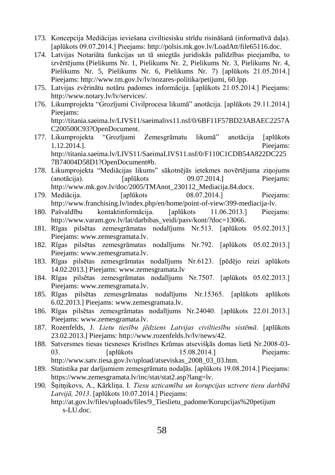- 173. Koncepcija Mediācijas ieviešana civiltiesisku strīdu risināšanā (informatīvā daļa). [aplūkots 09.07.2014.] Pieejams: [http://polsis.mk.gov.lv/LoadAtt/file65116.doc.](http://polsis.mk.gov.lv/LoadAtt/file65116.doc)
- 174. [Latvijas Notariāta funkcijas un tā sniegtās juridiskās palīdzības pieejamība, to](http://www.tm.gov.lv/files/archieve/lv_documents_petijumi_Osipova_petijums_07022009_final.doc)  [izvērtējums](http://www.tm.gov.lv/files/archieve/lv_documents_petijumi_Osipova_petijums_07022009_final.doc) [\(Pielikums Nr. 1,](http://www.tm.gov.lv/files/archieve/lv_documents_petijumi_TM_petijums_Pielikums_Nr_1.doc) [Pielikums Nr. 2,](http://www.tm.gov.lv/files/archieve/lv_documents_petijumi_TM_petijums_Pielikums_Nr_2.doc) [Pielikums Nr. 3,](http://www.tm.gov.lv/files/archieve/lv_documents_petijumi_TM_petijums_Pielikums_Nr_3.doc) [Pielikums Nr. 4,](http://www.tm.gov.lv/files/archieve/lv_documents_petijumi_TM_petijums_Pielikums_Nr_4.doc) [Pielikums Nr. 5,](http://www.tm.gov.lv/files/archieve/lv_documents_petijumi_TM_petijums_Pielikums_Nr_5.doc) [Pielikums Nr. 6,](http://www.tm.gov.lv/files/archieve/lv_documents_petijumi_TM_petijums_Pielikums_Nr_6.doc) [Pielikums Nr. 7\)](http://www.tm.gov.lv/files/archieve/lv_documents_petijumi_TM_petijums_Pielikums_Nr_7.doc) [aplūkots 21.05.2014.] Pieejams: http://www.tm.gov.lv/lv/nozares-politika/petijumi, 60.lpp.
- 175. Latvijas zvērinātu notāru padomes informācija. [aplūkots 21.05.2014.] Pieejams: [http://www.notary.lv/lv/services/.](http://www.notary.lv/lv/services/)
- 176. Likumprojekta "Grozījumi Civilprocesa likumā" anotācija. [aplūkots 29.11.2014.] Pieejams: [http://titania.saeima.lv/LIVS11/saeimalivs11.nsf/0/6BF11F57BD23ABAEC2257A](http://titania.saeima.lv/LIVS11/saeimalivs11.nsf/0/6BF11F57BD23ABAEC2257AC200500C93?OpenDocument)
- [C200500C93?OpenDocument.](http://titania.saeima.lv/LIVS11/saeimalivs11.nsf/0/6BF11F57BD23ABAEC2257AC200500C93?OpenDocument) 177. Likumprojekta "Grozījumi Zemesgrāmatu likumā" anotācija [aplūkots 1.12.2014.]. Pieejams: [http://titania.saeima.lv/LIVS11/SaeimaLIVS11.nsf/0/F110C1CDB54A822DC225](http://titania.saeima.lv/LIVS11/SaeimaLIVS11.nsf/0/F110C1CDB54A822DC2257B74004D58D1?OpenDocument#b) [7B74004D58D1?OpenDocument#b.](http://titania.saeima.lv/LIVS11/SaeimaLIVS11.nsf/0/F110C1CDB54A822DC2257B74004D58D1?OpenDocument#b)
- 178. Likumprojekta "Mediācijas likums" sākotnējās ietekmes novērtējuma ziņojums (anotācija). [aplūkots 09.07.2014.] Pieejams: [http://www.mk.gov.lv/doc/2005/TMAnot\\_230112\\_Mediacija.84.docx.](http://www.mk.gov.lv/doc/2005/TMAnot_230112_Mediacija.84.docx)
- 179. Mediācija. [aplūkots 08.07.2014.] Pieejams: [http://www.franchising.lv/index.php/en/home/point-of-view/399-mediacija-lv.](http://www.franchising.lv/index.php/en/home/point-of-view/399-mediacija-lv)
- 180. Pašvaldību kontaktinformācija. [aplūkots 11.06.2013.] Pieejams: [http://www.varam.gov.lv/lat/darbibas\\_veidi/pasv/kont/?doc=13066.](http://www.varam.gov.lv/lat/darbibas_veidi/pasv/kont/?doc=13066)
- 181. Rīgas pilsētas zemesgrāmatas nodalījums Nr.513. [aplūkots 05.02.2013.] Pieejams: [www.zemesgramata.lv.](http://www.zemesgramata.lv/)
- 182. Rīgas pilsētas zemesgrāmatas nodalījums Nr.792. [aplūkots 05.02.2013.] Pieejams: [www.zemesgramata.lv.](http://www.zemesgramata.lv/)
- 183. Rīgas pilsētas zemesgrāmatas nodalījums Nr.6123. [pēdējo reizi aplūkots 14.02.2013.] Pieejams: [www.zemesgramata.lv](http://www.zemesgramata.lv/)
- 184. Rīgas pilsētas zemesgrāmatas nodalījums Nr.7507. [aplūkots 05.02.2013.] Pieejams: [www.zemesgramata.lv.](http://www.zemesgramata.lv/)
- 185. Rīgas pilsētas zemesgrāmatas nodalījums Nr.15365. [aplūkots aplūkots 6.02.2013.] Pieejams[: www.zemesgramata.lv.](http://www.zemesgramata.lv/)
- 186. Rīgas pilsētas zemesgrāmatas nodalījums Nr.24040. [aplūkots 22.01.2013.] Pieejams: [www.zemesgramata.lv.](http://www.zemesgramata.lv/)
- 187. Rozenfelds, J. *Lietu tiesību jēdziens Latvijas civiltiesību sistēmā*. [aplūkots 23.02.2013.] Pieejams: [http://www.rozenfelds.lv/lv/news/42.](http://www.rozenfelds.lv/lv/news/42)
- 188. Satversmes tiesas tiesneses Kristīnes Krūmas atsevišķās domas lietā Nr.2008-03- 03. **[aplūkots** 15.08.2014.] **Pieejams:** [http://www.satv.tiesa.gov.lv/upload/atseviskas\\_2008\\_03\\_03.htm.](http://www.satv.tiesa.gov.lv/upload/atseviskas_2008_03_03.htm)
- 189. Statistika par darījumiem zemesgrāmatu nodaļās. [aplūkots 19.08.2014.] Pieejams: [https://www.zemesgramata.lv/inc/stat/stat2.asp?lang=lv.](https://www.zemesgramata.lv/inc/stat/stat2.asp?lang=lv)
- 190. Šņitņikovs, A., Kārkliņa. I. *Tiesu uzticamība un korupcijas uztvere tiesu darbībā Latvijā, 2013*. [aplūkots 10.07.2014.] Pieejams: [http://at.gov.lv/files/uploads/files/9\\_Tieslietu\\_padome/Korupcijas%20petijum](http://at.gov.lv/files/uploads/files/9_Tieslietu_padome/Korupcijas%20petijum%09s-LU.doc) [s-LU.doc.](http://at.gov.lv/files/uploads/files/9_Tieslietu_padome/Korupcijas%20petijum%09s-LU.doc)